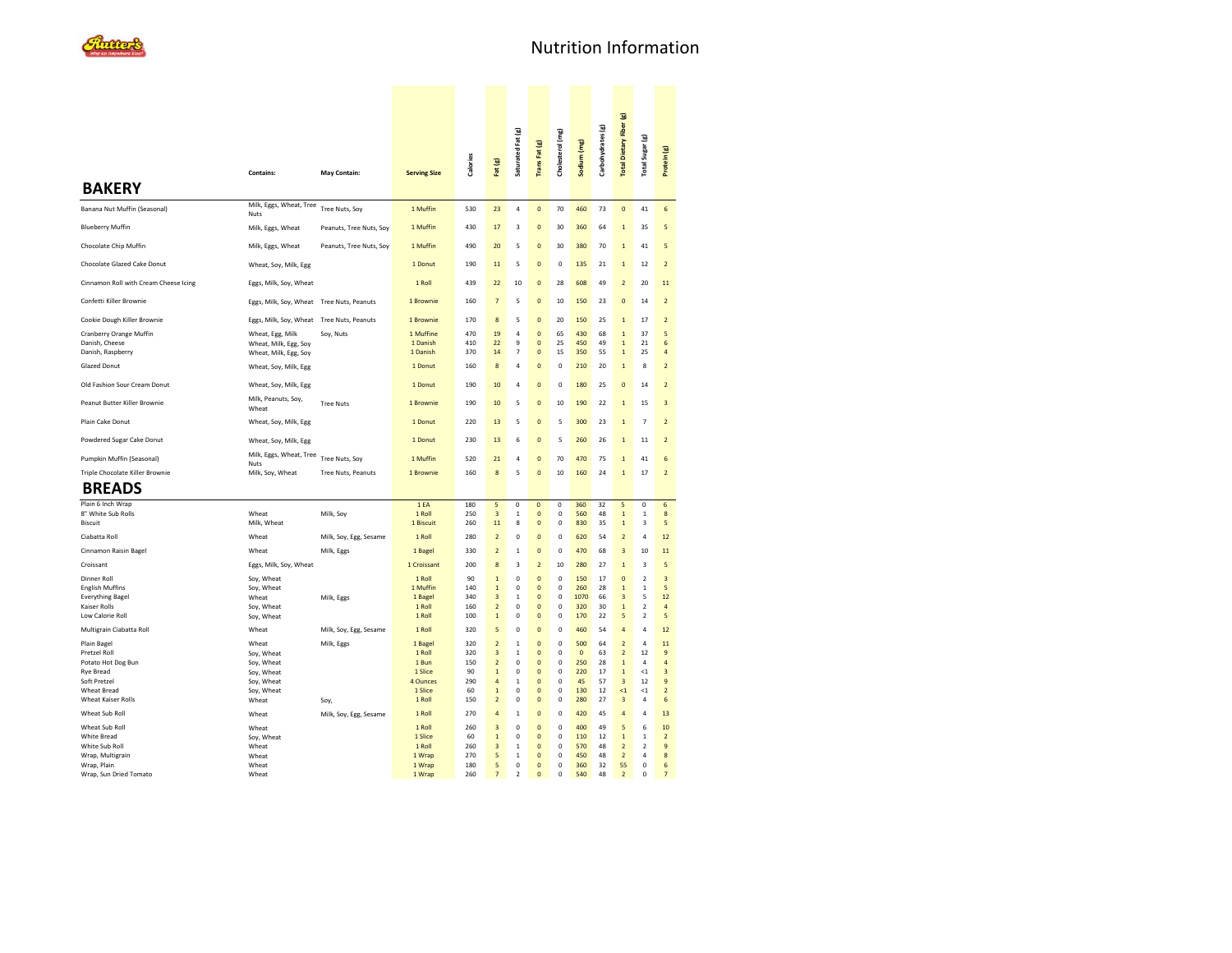|                                                                |                                                                    |                         |                                   |                   |                                  | Saturated Fat (g)                     | Trans Fat (g)                           | Cholesterol (mg) | Sodium (mg)           | Carbohydrates (g) | Total Dietary Fiber (g)                        | Total Sugar (g)            |                              |  |
|----------------------------------------------------------------|--------------------------------------------------------------------|-------------------------|-----------------------------------|-------------------|----------------------------------|---------------------------------------|-----------------------------------------|------------------|-----------------------|-------------------|------------------------------------------------|----------------------------|------------------------------|--|
|                                                                | <b>Contains:</b>                                                   | May Contain:            | <b>Serving Size</b>               | <b>Calories</b>   | Fat $(g)$                        |                                       |                                         |                  |                       |                   |                                                |                            | Protein (g)                  |  |
| <b>BAKERY</b>                                                  |                                                                    |                         |                                   |                   |                                  |                                       |                                         |                  |                       |                   |                                                |                            |                              |  |
| Banana Nut Muffin (Seasonal)                                   | Milk, Eggs, Wheat, Tree<br>Nuts                                    | Tree Nuts, Soy          | 1 Muffin                          | 530               | 23                               | $\overline{a}$                        | $\mathbf 0$                             | 70               | 460                   | 73                | $\Omega$                                       | 41                         | 6                            |  |
| <b>Blueberry Muffin</b>                                        | Milk, Eggs, Wheat                                                  | Peanuts, Tree Nuts, Soy | 1 Muffin                          | 430               | 17                               | 3                                     | $\overline{0}$                          | 30               | 360                   | 64                | $\mathbf{1}$                                   | 35                         | 5                            |  |
| Chocolate Chip Muffin                                          | Milk, Eggs, Wheat                                                  | Peanuts, Tree Nuts, Soy | 1 Muffin                          | 490               | 20                               | 5                                     | $\mathbf 0$                             | 30               | 380                   | 70                | $\mathbf{1}$                                   | 41                         | 5                            |  |
| Chocolate Glazed Cake Donut                                    | Wheat, Soy, Milk, Egg                                              |                         | 1 Donut                           | 190               | 11                               | 5                                     | $\Omega$                                | $\mathbf 0$      | 135                   | 21                | $\mathbf{1}$                                   | 12                         | $\overline{\phantom{a}}$     |  |
| Cinnamon Roll with Cream Cheese Icing                          | Eggs, Milk, Soy, Wheat                                             |                         | 1 Roll                            | 439               | 22                               | 10                                    | $\overline{0}$                          | 28               | 608                   | 49                | $\overline{2}$                                 | 20                         | 11                           |  |
| Confetti Killer Brownie                                        | Eggs, Milk, Soy, Wheat Tree Nuts, Peanuts                          |                         | 1 Brownie                         | 160               | $\overline{7}$                   | 5                                     | $\mathbf{0}$                            | 10               | 150                   | 23                | $\overline{0}$                                 | 14                         | $\overline{2}$               |  |
| Cookie Dough Killer Brownie                                    | Eggs, Milk, Soy, Wheat Tree Nuts, Peanuts                          |                         | 1 Brownie                         | 170               | 8                                | 5                                     | $\Omega$                                | 20               | 150                   | 25                | $\overline{1}$                                 | 17                         | $\overline{\phantom{a}}$     |  |
| Cranberry Orange Muffin<br>Danish, Cheese<br>Danish, Raspberry | Wheat, Egg, Milk<br>Wheat, Milk, Egg, Soy<br>Wheat, Milk, Egg, Soy | Soy, Nuts               | 1 Muffine<br>1 Danish<br>1 Danish | 470<br>410<br>370 | 19<br>22<br>14                   | $\overline{a}$<br>9<br>$\overline{7}$ | $\mathbf{0}$<br>$\mathbf{0}$<br>$\circ$ | 65<br>25<br>15   | 430<br>450<br>350     | 68<br>49<br>55    | $\overline{1}$<br>$\mathbf{1}$<br>$\mathbf{1}$ | 37<br>21<br>25             | 5<br>6<br>$\overline{4}$     |  |
| <b>Glazed Donut</b>                                            | Wheat, Soy, Milk, Egg                                              |                         | 1 Donut                           | 160               | 8                                | $\overline{a}$                        | $\overline{0}$                          | $\mathbf 0$      | 210                   | 20                | $\overline{1}$                                 | 8                          | $\overline{2}$               |  |
| Old Fashion Sour Cream Donut                                   | Wheat, Soy, Milk, Egg                                              |                         | 1 Donut                           | 190               | 10                               | 4                                     | $\overline{0}$                          | $\mathbf 0$      | 180                   | 25                | $\mathbf 0$                                    | 14                         | $\overline{2}$               |  |
| Peanut Butter Killer Brownie                                   | Milk, Peanuts, Soy,<br>Wheat                                       | <b>Tree Nuts</b>        | 1 Brownie                         | 190               | 10                               | 5                                     | 0                                       | 10               | 190                   | 22                | $\mathbf{1}$                                   | 15                         | 3                            |  |
| Plain Cake Donut                                               | Wheat, Soy, Milk, Egg                                              |                         | 1 Donut                           | 220               | 13                               | 5                                     | $\overline{0}$                          | 5                | 300                   | 23                | $\overline{1}$                                 | $\overline{7}$             | $\overline{2}$               |  |
| Powdered Sugar Cake Donut                                      | Wheat, Soy, Milk, Egg                                              |                         | 1 Donut                           | 230               | 13                               | 6                                     | $\mathbf{0}$                            | 5                | 260                   | 26                | $\overline{1}$                                 | $11\,$                     | $\mathbf 2$                  |  |
| Pumpkin Muffin (Seasonal)                                      | Milk, Eggs, Wheat, Tree                                            | Tree Nuts, Soy          | 1 Muffin                          | 520               | 21                               | 4                                     | $\mathbf{0}$                            | 70               | 470                   | 75                | $\mathbf{1}$                                   | 41                         | 6                            |  |
| Triple Chocolate Killer Brownie                                | Nuts<br>Milk, Soy, Wheat                                           | Tree Nuts, Peanuts      | 1 Brownie                         | 160               | 8                                | 5                                     | $\mathbf{0}$                            | 10               | 160                   | 24                | $\overline{1}$                                 | 17                         | $\overline{\mathbf{c}}$      |  |
| <b>BREADS</b>                                                  |                                                                    |                         |                                   |                   |                                  |                                       |                                         |                  |                       |                   |                                                |                            |                              |  |
| Plain 6 Inch Wrap<br>8" White Sub Rolls                        |                                                                    |                         | 1EA<br>1 Roll                     | 180<br>250        | 5<br>$\overline{3}$              | $\mathbf 0$<br>1                      | $\mathbf 0$<br>$\overline{0}$           | 0<br>$^{\circ}$  | 360<br>560            | 32<br>48          | 5<br>$\mathbf{1}$                              | $\mathbf 0$                | 6<br>8                       |  |
| <b>Biscuit</b>                                                 | Wheat<br>Milk, Wheat                                               | Milk, Soy               | 1 Biscuit                         | 260               | 11                               | 8                                     | $\mathbf 0$                             | $\Omega$         | 830                   | 35                | $\overline{1}$                                 | 1<br>$\overline{3}$        | 5                            |  |
| Ciabatta Roll                                                  | Wheat                                                              | Milk, Soy, Egg, Sesame  | 1 Roll                            | 280               | $\overline{2}$                   | $\Omega$                              | $\Omega$                                | $\Omega$         | 620                   | 54                | $\overline{2}$                                 | $\overline{a}$             | 12                           |  |
| Cinnamon Raisin Bagel                                          | Wheat                                                              | Milk, Eggs              | 1 Bagel                           | 330               | $\overline{2}$                   | $\mathbf{1}$                          | $\overline{0}$                          | $\mathbf 0$      | 470                   | 68                | $\overline{3}$                                 | 10                         | 11                           |  |
| Croissant                                                      | Eggs, Milk, Soy, Wheat                                             |                         | 1 Croissant                       | 200               | 8                                | 3                                     | $\overline{2}$                          | 10               | 280                   | 27                | $\mathbf{1}$                                   | 3                          | 5                            |  |
| <b>Dinner Roll</b>                                             | Soy, Wheat                                                         |                         | 1 Roll                            | 90<br>140         | $\overline{1}$                   | $\Omega$<br>$\mathbf 0$               | $\mathbf 0$                             | $\pmb{0}$        | 150                   | 17                | $\overline{0}$<br>$\overline{1}$               | $\boldsymbol{2}$           | $\overline{\mathbf{3}}$<br>5 |  |
| <b>English Muffins</b><br><b>Everything Bagel</b>              | Soy, Wheat<br>Wheat                                                | Milk, Eggs              | 1 Muffin<br>1 Bagel               | 340               | $\mathbf 1$<br>3                 | $\mathbf{1}$                          | $\mathbf{0}$<br>$\mathbf{0}$            | 0<br>0           | 260<br>1070           | 28<br>66          | 3                                              | $\,$ 1<br>5                | $12\,$                       |  |
| Kaiser Rolls                                                   | Soy, Wheat                                                         |                         | 1 Roll                            | 160               | $\overline{\mathbf{c}}$          | 0                                     | $\mathbf{0}$                            | 0                | 320                   | 30                | $\overline{1}$                                 | $\boldsymbol{2}$           | 4                            |  |
| Low Calorie Roll                                               | Soy, Wheat                                                         |                         | 1 Roll                            | 100               | $\mathbf 1$                      | 0                                     | $\mathbf{0}$                            | 0                | 170                   | 22                | 5                                              | $\boldsymbol{2}$           | 5                            |  |
| Multigrain Ciabatta Roll                                       | Wheat                                                              | Milk, Soy, Egg, Sesame  | 1 Roll                            | 320               | $\overline{5}$                   | $\mathbf 0$                           | $\mathbf 0$                             | $\Omega$         | 460                   | 54                | $\overline{a}$                                 | $\overline{a}$             | 12                           |  |
| Plain Bagel                                                    | Wheat                                                              | Milk, Eggs              | 1 Bagel                           | 320               | $\overline{2}$                   | $\mathbf{1}$                          | $\mathbf 0$                             | $\mathbf 0$      | 500<br>$\overline{0}$ | 64                | $\overline{2}$                                 | $\overline{a}$             | $11$                         |  |
| Pretzel Roll<br>Potato Hot Dog Bun                             | Soy, Wheat<br>Soy, Wheat                                           |                         | 1 Roll<br>1 Bun                   | 320<br>150        | 3<br>$\overline{\mathbf{c}}$     | $\mathbf 1$<br>0                      | $\mathbf{0}$<br>$\mathbf{0}$            | 0<br>0           | 250                   | 63<br>28          | $\overline{\mathbf{c}}$<br>$\mathbf 1$         | 12<br>$\overline{4}$       | 9<br>$\overline{4}$          |  |
| <b>Rye Bread</b>                                               | Soy, Wheat                                                         |                         | 1 Slice                           | 90                | $\mathbf 1$                      | 0                                     | $\mathbf{0}$                            | 0                | 220                   | 17                | $\mathbf 1$                                    | $<$ 1                      | 3                            |  |
| Soft Pretzel                                                   | Soy, Wheat                                                         |                         | 4 Ounces                          | 290               | $\overline{a}$                   | $\overline{1}$                        | $\mathbf 0$                             | $\pmb{0}$        | 45                    | 57                | $\overline{\mathbf{3}}$                        | 12                         | 9                            |  |
| <b>Wheat Bread</b><br>Wheat Kaiser Rolls                       | Soy, Wheat<br>Wheat                                                | Soy,                    | 1 Slice<br>1 Roll                 | 60<br>150         | $\overline{1}$<br>$\overline{2}$ | 0<br>0                                | $\mathbf 0$<br>$\mathbf 0$              | 0<br>$\mathbf 0$ | 130<br>280            | 12<br>27          | $\leq$ 1<br>$\overline{3}$                     | $\leq$ 1<br>$\overline{4}$ | $\overline{2}$<br>6          |  |
| Wheat Sub Roll                                                 | Wheat                                                              | Milk, Soy, Egg, Sesame  | 1 Roll                            | 270               | $\overline{4}$                   | $\mathbf 1$                           | $\mathbf 0$                             | $\circ$          | 420                   | 45                | $\overline{4}$                                 | $\overline{4}$             | 13                           |  |
| Wheat Sub Roll                                                 | Wheat                                                              |                         | 1 Roll                            | 260               | $\overline{3}$                   | 0                                     | $\mathbf 0$                             | $\Omega$         | 400                   | 49                | $\overline{5}$                                 | 6                          | 10                           |  |
| White Bread                                                    | Soy, Wheat                                                         |                         | 1 Slice                           | 60                | $\,$ 1 $\,$                      | 0                                     | $\mathbf 0$                             | $\pmb{0}$        | 110                   | 12                | $\mathbf 1$                                    | $\,1\,$                    | $\mathbf 2$                  |  |
| White Sub Roll                                                 | Wheat                                                              |                         | 1 Roll                            | 260               | $\overline{\mathbf{3}}$          | $\mathbf 1$                           | $\mathbf 0$                             | $\pmb{0}$        | 570                   | 48                | $\overline{2}$                                 | $\boldsymbol{2}$           | 9                            |  |
| Wrap, Multigrain<br>Wrap, Plain                                | Wheat<br>Wheat                                                     |                         | 1 Wrap<br>1 Wrap                  | 270<br>180        | 5<br>5                           | $\mathbf 1$<br>0                      | $\mathbf 0$<br>$\mathbf 0$              | 0<br>0           | 450<br>360            | 48<br>32          | $\mathbf 2$<br>55                              | $\sqrt{4}$<br>$\pmb{0}$    | 8<br>6                       |  |
| Wrap, Sun Dried Tomato                                         | Wheat                                                              |                         | 1 Wrap                            | 260               | $\overline{7}$                   | $\mathbf 2$                           | $\mathbf 0$                             | $\mathbf 0$      | 540                   | 48                | $\overline{2}$                                 | $\pmb{0}$                  | $\overline{7}$               |  |
|                                                                |                                                                    |                         |                                   |                   |                                  |                                       |                                         |                  |                       |                   |                                                |                            |                              |  |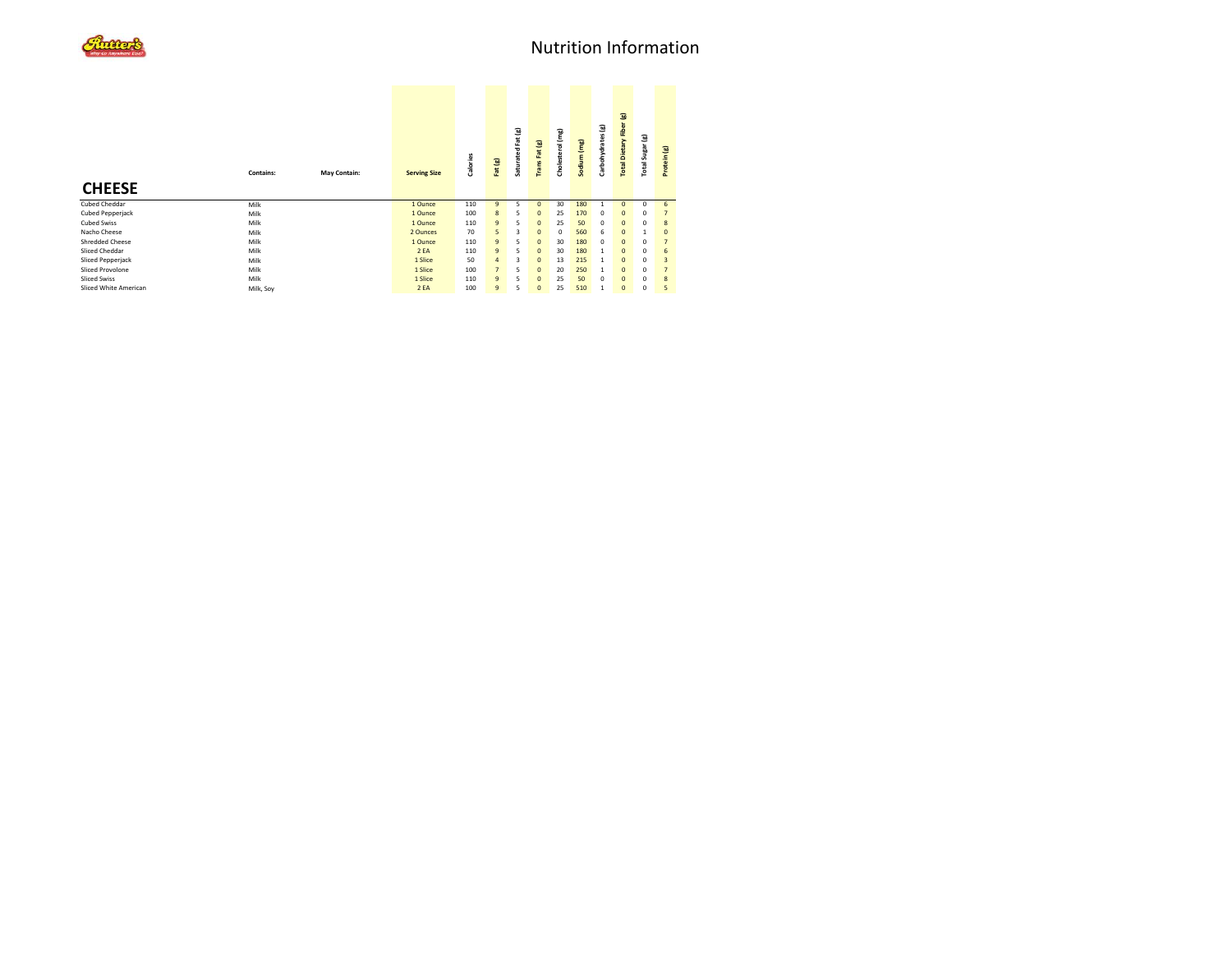| <b>CHEESE</b>           | <b>Contains:</b> | May Contain: | <b>Serving Size</b> | Calories | Fat (g)        | Saturated Fat (g) | Trans Fat (g) | (mg<br>Cholesterol | Sodium (mg) | Carbohydrates (g) | Total Dietary Fiber (g) | Total Sugar (g) | Protein (g)    |  |
|-------------------------|------------------|--------------|---------------------|----------|----------------|-------------------|---------------|--------------------|-------------|-------------------|-------------------------|-----------------|----------------|--|
| Cubed Cheddar           | Milk             |              | 1 Ounce             | 110      | $\overline{9}$ | 5                 | $\Omega$      | 30                 | 180         | 1                 | $\Omega$                | $^{\circ}$      | 6              |  |
| <b>Cubed Pepperjack</b> | Milk             |              | 1 Ounce             | 100      | 8              | 5                 | $\mathbf{0}$  | 25                 | 170         | 0                 | $\mathbf{0}$            | $^{\circ}$      | $\overline{7}$ |  |
| <b>Cubed Swiss</b>      | Milk             |              | 1 Ounce             | 110      | $\overline{9}$ | 5                 | $\mathbf{0}$  | 25                 | 50          | 0                 | $\mathbf{0}$            | $^{\circ}$      | 8              |  |
| Nacho Cheese            | Milk             |              | 2 Ounces            | 70       | 5              | 3                 | $\mathbf{0}$  | 0                  | 560         | 6                 | $\mathbf{0}$            |                 | $\mathbf{0}$   |  |
| <b>Shredded Cheese</b>  | Milk             |              | 1 Ounce             | 110      | $\overline{9}$ | 5                 | $\Omega$      | 30                 | 180         | 0                 | $\mathbf{0}$            | $^{\circ}$      | $\overline{7}$ |  |
| Sliced Cheddar          | Milk             |              | 2EA                 | 110      | $\overline{9}$ | 5                 | $\mathbf{0}$  | 30                 | 180         | $\mathbf{1}$      | $\mathbf{0}$            | $^{\circ}$      | 6              |  |
| Sliced Pepperjack       | Milk             |              | 1 Slice             | 50       | $\overline{a}$ | 3                 | $\Omega$      | 13                 | 215         | $\mathbf{1}$      | $\mathbf{0}$            | $^{\circ}$      | $\overline{3}$ |  |
| Sliced Provolone        | Milk             |              | 1 Slice             | 100      | $\overline{7}$ | 5                 | $\Omega$      | 20                 | 250         | $\mathbf{1}$      | $\mathbf{0}$            | $^{\circ}$      | $\overline{7}$ |  |
| <b>Sliced Swiss</b>     | Milk             |              | 1 Slice             | 110      | $\overline{9}$ | 5                 | $\mathbf{0}$  | 25                 | 50          | 0                 | $\mathbf{0}$            | $^{\circ}$      | 8              |  |
| Sliced White American   | Milk, Soy        |              | 2EA                 | 100      | $\overline{9}$ | 5                 | $\mathbf{0}$  | 25                 | 510         | $\mathbf{1}$      | $\mathbf{0}$            | $^{\circ}$      | 5              |  |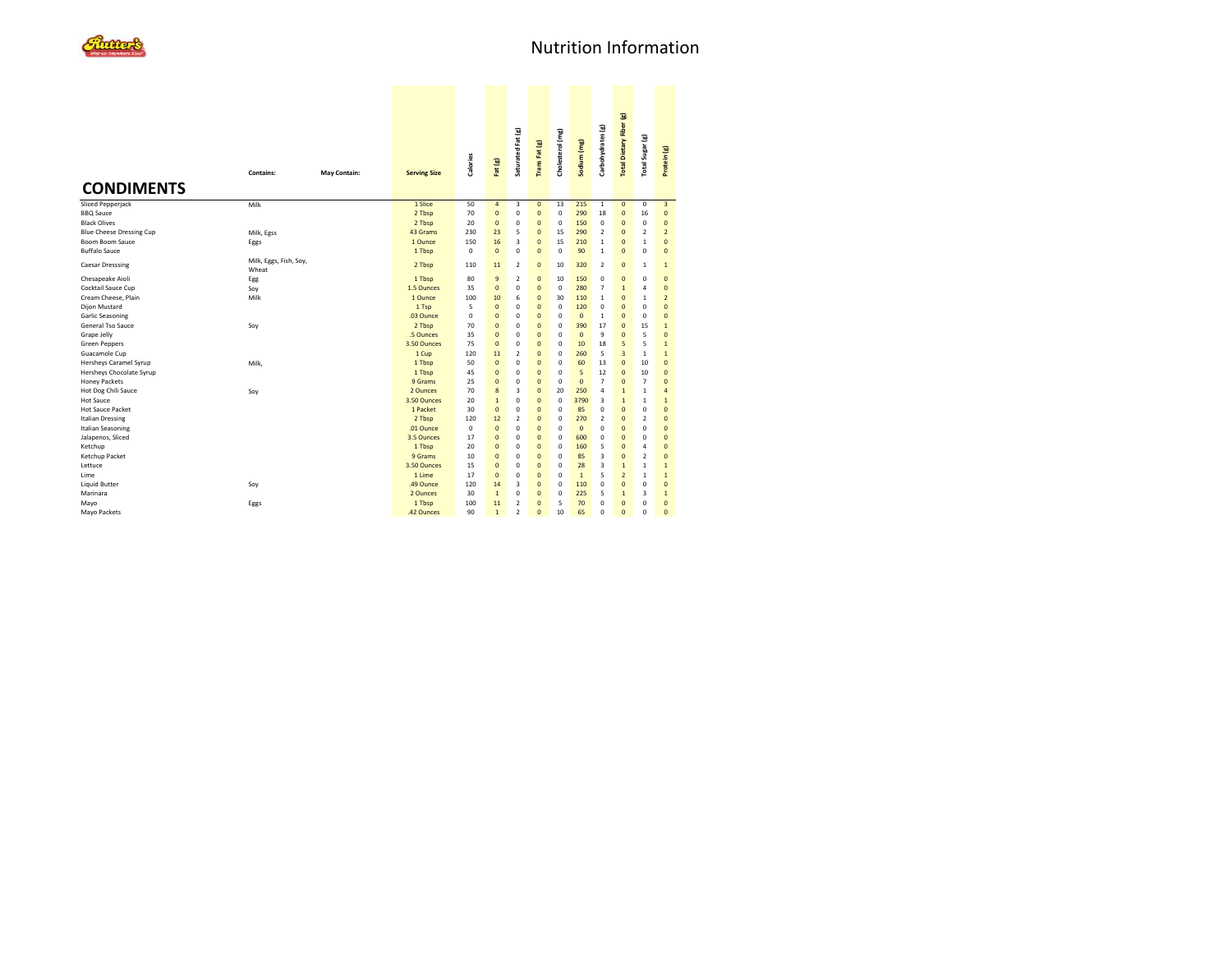

|                                                                          | <b>Contains:</b>                | May Contain: | <b>Serving Size</b>                 | Calories                | Fat (g)                                              | Saturated Fat (g)                                         | <b>TransFat (g)</b>                                | Cholesterol (mg)                          | Sodium (mg)                | Carbohydrates (g)                                       | Total Dietary Fiber (g)                            | Total Sugar (g)                                  | Protein (g)                                             |
|--------------------------------------------------------------------------|---------------------------------|--------------|-------------------------------------|-------------------------|------------------------------------------------------|-----------------------------------------------------------|----------------------------------------------------|-------------------------------------------|----------------------------|---------------------------------------------------------|----------------------------------------------------|--------------------------------------------------|---------------------------------------------------------|
| <b>CONDIMENTS</b>                                                        |                                 |              |                                     |                         |                                                      |                                                           |                                                    |                                           |                            |                                                         |                                                    |                                                  |                                                         |
| <b>Sliced Pepperjack</b><br><b>BBQ</b> Sauce<br><b>Black Olives</b>      | Milk                            |              | 1 Slice<br>2 Tbsp<br>2 Tbsp         | 50<br>70<br>20          | $\overline{\mathbf{4}}$<br>$\pmb{0}$<br>$\mathbf{0}$ | $\overline{\mathbf{3}}$<br>0<br>$\mathbf 0$               | $\mathbf{0}$<br>$\overline{0}$<br>$\overline{0}$   | 13<br>$\mathbf 0$<br>$\mathbf 0$          | 215<br>290<br>150          | $\mathbf{1}$<br>18<br>$\mathbf 0$                       | $\overline{0}$<br>$\mathbf{0}$<br>$\overline{0}$   | $\mathbf 0$<br>16<br>$\mathbf 0$                 | $\overline{\mathbf{3}}$<br>$\mathbf{0}$<br>$\mathbf{0}$ |
| Blue Cheese Dressing Cup<br>Boom Boom Sauce                              | Milk, Egss<br>Eggs              |              | 43 Grams<br>1 Ounce                 | 230<br>150              | 23<br>16                                             | 5<br>$\overline{3}$                                       | $\overline{0}$<br>$\overline{0}$                   | 15<br>15                                  | 290<br>210                 | $\overline{2}$<br>$\mathbf{1}$                          | $\overline{0}$<br>$\overline{0}$                   | $\overline{2}$<br>$\mathbf{1}$                   | $\overline{2}$<br>$\mathbf{0}$                          |
| <b>Buffalo Sauce</b><br><b>Caesar Dresssing</b>                          | Milk, Eggs, Fish, Soy,<br>Wheat |              | 1 Tbsp<br>2 Tbsp                    | 0<br>110                | $\mathbf{0}$<br>11                                   | $\mathbf 0$<br>$\overline{2}$                             | $\overline{0}$<br>$\overline{0}$                   | $\mathbf 0$<br>10                         | 90<br>320                  | $\mathbf{1}$<br>$\overline{2}$                          | $\overline{0}$<br>$\overline{0}$                   | $\mathbf 0$<br>$\mathbf{1}$                      | $\overline{0}$<br>$\mathbf{1}$                          |
| Chesapeake Aioli<br>Cocktail Sauce Cup                                   | Egg<br>Soy                      |              | 1 Tbsp<br>1.5 Ounces                | 80<br>35                | 9<br>$\mathbf{0}$                                    | $\overline{2}$<br>$\mathbf 0$                             | $\overline{0}$<br>$\overline{0}$                   | 10<br>$\mathbf 0$                         | 150<br>280                 | $\mathbf 0$<br>$\overline{7}$<br>$\mathbf{1}$           | $\mathbf 0$<br>$\overline{1}$                      | $\mathbf 0$<br>$\overline{4}$                    | $\overline{0}$<br>$\Omega$                              |
| Cream Cheese, Plain<br>Dijon Mustard<br>Garlic Seasoning                 | Milk                            |              | 1 Ounce<br>1 Tsp<br>.03 Ounce       | 100<br>5<br>$\mathbf 0$ | 10<br>$\mathbf{0}$<br>$\mathbf{0}$                   | 6<br>$\mathbf 0$<br>$\mathbf 0$                           | $\overline{0}$<br>$\overline{0}$<br>$\overline{0}$ | 30<br>$\mathbf 0$<br>$\Omega$             | 110<br>120<br>$\mathbf{0}$ | $\mathbf 0$<br>$\mathbf{1}$                             | $\overline{0}$<br>$\overline{0}$<br>$\Omega$       | $\mathbf{1}$<br>$\mathbf 0$<br>$\mathbf 0$       | $\mathbf 2$<br>$\mathbf{0}$<br>$\Omega$                 |
| General Tso Sauce<br>Grape Jelly                                         | Soy                             |              | 2 Tbsp<br>.5 Ounces<br>3.50 Ounces  | 70<br>35<br>75          | $\mathbf{0}$<br>$\mathbf{0}$                         | $\mathbf 0$<br>$\mathbf 0$                                | $\overline{0}$<br>$\overline{0}$                   | $\mathbf 0$<br>$\mathbf 0$                | 390<br>$\mathbf{0}$        | 17<br>9                                                 | $\overline{0}$<br>$\overline{0}$                   | 15<br>5<br>5                                     | $\mathbf{1}$<br>$\overline{0}$                          |
| <b>Green Peppers</b><br>Guacamole Cup<br>Hersheys Caramel Syrup          | Milk,                           |              | 1 Cup<br>1 Tbsp                     | 120<br>50               | $\mathbf{0}$<br>11<br>$\mathbf{0}$                   | $\mathbf 0$<br>$\overline{2}$<br>$\mathbf 0$              | $\overline{0}$<br>$\overline{0}$<br>$\mathbf{0}$   | $\mathbf 0$<br>$\mathbf 0$<br>$\mathbf 0$ | 10<br>260<br>60            | 18<br>5<br>13                                           | 5<br>$\overline{a}$<br>$\overline{0}$              | $\mathbf{1}$<br>10                               | $\mathbf{1}$<br>$\mathbf{1}$<br>$\mathbf{0}$            |
| Hersheys Chocolate Syrup<br><b>Honey Packets</b>                         |                                 |              | 1 Tbsp<br>9 Grams                   | 45<br>25                | $\mathbf{0}$<br>$\mathbf 0$                          | $\mathbf 0$<br>$\mathbf 0$                                | $\overline{0}$<br>$\mathbf{0}$                     | $\mathbf 0$<br>$\mathbf 0$                | 5<br>$\mathbf{0}$          | 12<br>$\overline{7}$                                    | $\overline{0}$<br>$\overline{0}$                   | 10<br>$\overline{7}$                             | $\mathbf{0}$<br>$\mathbf{0}$                            |
| Hot Dog Chili Sauce<br><b>Hot Sauce</b><br><b>Hot Sauce Packet</b>       | Soy                             |              | 2 Ounces<br>3.50 Qunces<br>1 Packet | 70<br>20<br>30          | 8<br>$\mathbf 1$<br>$\mathbf{0}$                     | $\overline{3}$<br>$\mathbf 0$<br>$\mathbf 0$              | $\overline{0}$<br>$\Omega$<br>$\overline{0}$       | 20<br>$\Omega$<br>$\mathbf 0$             | 250<br>3790<br>85          | $\overline{4}$<br>$\overline{3}$<br>$\mathbf 0$         | $\mathbf{1}$<br>$\mathbf{1}$<br>$\overline{0}$     | $\mathbf{1}$<br>$\mathbf{1}$<br>$\mathbf 0$      | $\overline{4}$<br>$\mathbf{1}$<br>$\mathbf{0}$          |
| <b>Italian Dressing</b><br><b>Italian Seasoning</b><br>Jalapenos, Sliced |                                 |              | 2 Tbsp<br>.01 Ounce<br>3.5 Ounces   | 120<br>0<br>17          | 12<br>$\mathbf{0}$<br>$\mathbf{0}$                   | $\overline{2}$<br>$\mathbf 0$<br>$\mathbf 0$              | $\overline{0}$<br>$\overline{0}$<br>$\overline{0}$ | $\Omega$<br>$\mathbf 0$<br>$\Omega$       | 270<br>$\mathbf{0}$<br>600 | $\overline{2}$<br>$\mathbf 0$<br>$\mathbf 0$            | $\overline{0}$<br>$\overline{0}$<br>$\overline{0}$ | $\overline{2}$<br>$\mathbf 0$<br>$\mathbf 0$     | $\Omega$<br>$\overline{0}$<br>$\mathbf{0}$              |
| Ketchup<br>Ketchup Packet<br>Lettuce                                     |                                 |              | 1 Tbsp<br>9 Grams<br>3.50 Ounces    | 20<br>10<br>15          | $\mathbf{0}$<br>$\overline{0}$<br>$\mathbf{0}$       | $\mathbf 0$<br>$\mathbf 0$<br>$\mathbf 0$                 | $\overline{0}$<br>$\overline{0}$<br>$\overline{0}$ | $\mathbf 0$<br>$\mathbf 0$<br>$\mathbf 0$ | 160<br>85<br>28            | 5<br>$\overline{\mathbf{3}}$<br>$\overline{\mathbf{3}}$ | $\overline{0}$<br>$\overline{0}$<br>$\overline{1}$ | $\overline{4}$<br>$\overline{2}$<br>$\mathbf{1}$ | $\mathbf{0}$<br>$\Omega$<br>$\mathbf{1}$                |
| Lime<br><b>Liquid Butter</b>                                             | Sov                             |              | 1 Lime<br>.49 Ounce                 | 17<br>120               | $\mathbf{0}$<br>14                                   | $\mathbf 0$<br>$\overline{\mathbf{3}}$                    | $\overline{0}$<br>$\overline{0}$                   | $\mathbf 0$<br>$\mathbf 0$                | $\mathbf{1}$<br>110        | 5<br>$\mathbf 0$                                        | $\overline{2}$<br>$\overline{0}$                   | $\mathbf{1}$<br>$\mathbf 0$                      | $\mathbf{1}$<br>$\mathbf{0}$                            |
| Marinara<br>Mayo<br>Mayo Packets                                         | Eggs                            |              | 2 Ounces<br>1 Tbsp<br>.42 Ounces    | 30<br>100<br>90         | $\mathbf{1}$<br>11<br>$\mathbf{1}$                   | $\mathbf 0$<br>$\overline{2}$<br>$\overline{\phantom{a}}$ | $\overline{0}$<br>$\Omega$<br>$\Omega$             | $\mathbf 0$<br>5<br>10                    | 225<br>70<br>65            | 5<br>$\Omega$<br>$\Omega$                               | $\mathbf{1}$<br>$\overline{0}$<br>$\overline{0}$   | 3<br>$\mathbf 0$<br>$\Omega$                     | $\mathbf{1}$<br>$\mathbf{0}$<br>$\Omega$                |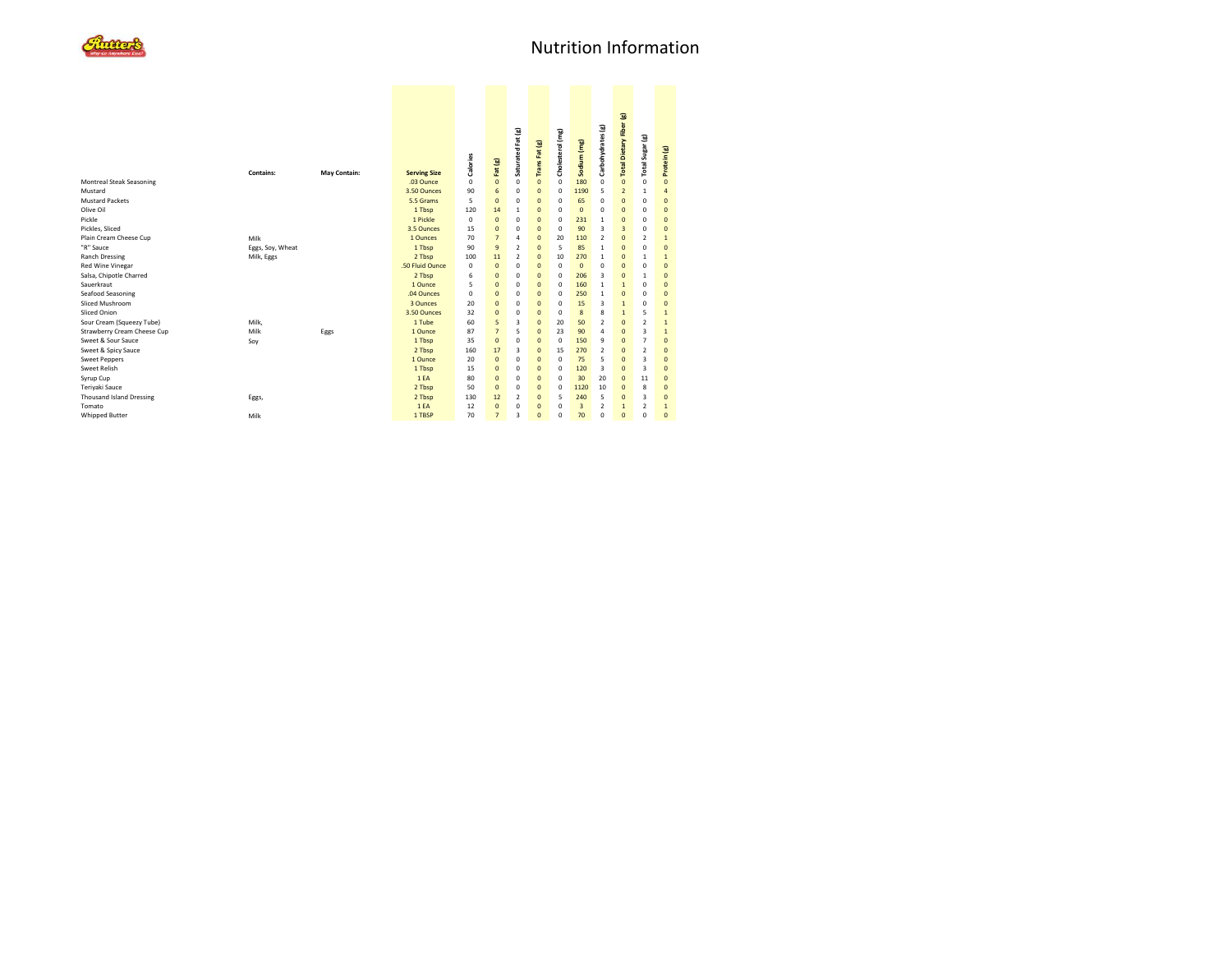

| Montreal Steak Seasoning        | Contains:        | May Contain: | <b>Serving Size</b><br>.03 Ounce | <b>Calories</b><br>0 | Fat (g)<br>$\mathbf{0}$ | Saturated Fat (g)<br>0  | Trans Fat (g)<br>$\overline{0}$ | Cholesterol (mg)<br>$\mathbf 0$ | Sodium (mg)<br>180 | Carbohydrates (g)<br>0 | Total Dietary Fiber (g)<br>$\mathbf{0}$ | Total Sugar (g)<br>0 | Protein (g)<br>$\overline{0}$ |  |
|---------------------------------|------------------|--------------|----------------------------------|----------------------|-------------------------|-------------------------|---------------------------------|---------------------------------|--------------------|------------------------|-----------------------------------------|----------------------|-------------------------------|--|
| Mustard                         |                  |              | 3.50 Ounces                      | 90                   | 6                       | $\Omega$                | $\overline{0}$                  | $\mathbf 0$                     | 1190               | 5                      | $\overline{2}$                          | $\mathbf{1}$         | $\overline{a}$                |  |
| <b>Mustard Packets</b>          |                  |              | 5.5 Grams                        | 5                    | $\Omega$                | $\Omega$                | $\Omega$                        | $\Omega$                        | 65                 | 0                      | $\mathbf{0}$                            | $\mathbf 0$          | $\Omega$                      |  |
| Olive Oil                       |                  |              | 1 Tbsp                           | 120                  | 14                      | $\mathbf{1}$            | $\mathbf{0}$                    | $\Omega$                        | $\overline{0}$     | 0                      | $\mathbf{0}$                            | $\mathbf 0$          | $\overline{0}$                |  |
| Pickle                          |                  |              | 1 Pickle                         | 0                    | $\mathbf{0}$            | $\Omega$                | $\Omega$                        | $^{\circ}$                      | 231                | 1                      | $\mathbf{0}$                            | $\mathbf 0$          | $\Omega$                      |  |
| Pickles, Sliced                 |                  |              | 3.5 Ounces                       | 15                   | $\mathbf{0}$            | $\Omega$                | $\Omega$                        | $\mathbf 0$                     | 90                 | 3                      | $\overline{3}$                          | $\mathbf 0$          | $\Omega$                      |  |
| Plain Cream Cheese Cup          | Milk             |              | 1 Qunces                         | 70                   | $\overline{7}$          | $\overline{a}$          | $\Omega$                        | 20                              | 110                | $\overline{2}$         | $\Omega$                                | $\overline{2}$       | $\mathbf{1}$                  |  |
| "R" Sauce                       | Eggs, Soy, Wheat |              | 1 Tbsp                           | 90                   | $\overline{9}$          | $\overline{2}$          | $\Omega$                        | 5                               | 85                 | 1                      | $\mathbf{0}$                            | $\mathbf 0$          | $\Omega$                      |  |
| <b>Ranch Dressing</b>           | Milk, Eggs       |              | 2 Tbsp                           | 100                  | 11                      | $\mathfrak{p}$          | $\mathbf{0}$                    | 10                              | 270                | 1                      | $\mathbf{0}$                            | 1                    | $\mathbf{1}$                  |  |
| Red Wine Vinegar                |                  |              | .50 Fluid Ounce                  | $\Omega$             | $\mathbf{0}$            | 0                       | $\Omega$                        | $\mathbf 0$                     | $\mathbf{0}$       | 0                      | $\mathbf{0}$                            | $\mathbf 0$          | $\Omega$                      |  |
| Salsa, Chipotle Charred         |                  |              | 2 Tbsp                           | 6                    | $\mathbf{0}$            | 0                       | $\overline{0}$                  | $\mathbf 0$                     | 206                | 3                      | $\mathbf{0}$                            | $\mathbf{1}$         | $\overline{0}$                |  |
| Sauerkraut                      |                  |              | 1 Ounce                          | 5                    | $\mathbf{0}$            | 0                       | $\mathbf{0}$                    | $^{\circ}$                      | 160                | $\mathbf{1}$           | $\mathbf{1}$                            | $\mathbf 0$          | $\Omega$                      |  |
| Seafood Seasoning               |                  |              | .04 Ounces                       | 0                    | $\mathbf{0}$            | $\mathbf 0$             | $\overline{0}$                  | $\mathbf 0$                     | 250                | $\mathbf{1}$           | $\mathbf{0}$                            | $\mathbf 0$          | $\Omega$                      |  |
| Sliced Mushroom                 |                  |              | 3 Ounces                         | 20                   | $\mathbf{0}$            | $\Omega$                | $\Omega$                        | $\mathbf 0$                     | 15                 | 3                      | $\overline{1}$                          | $\mathbf 0$          | $\Omega$                      |  |
| Sliced Onion                    |                  |              | 3.50 Ounces                      | 32                   | $\mathbf{0}$            | $\mathbf 0$             | $\overline{0}$                  | $\mathbf 0$                     | 8                  | 8                      | $\overline{1}$                          | 5                    | $\mathbf{1}$                  |  |
| Sour Cream (Squeezy Tube)       | Milk.            |              | 1 Tube                           | 60                   | 5                       | $\overline{\mathbf{3}}$ | $\Omega$                        | 20                              | 50                 | $\overline{2}$         | $\mathbf{0}$                            | $\overline{2}$       | $\mathbf{1}$                  |  |
| Strawberry Cream Cheese Cup     | Milk             | Eggs         | 1 Ounce                          | 87                   | $\overline{7}$          | 5                       | $\Omega$                        | 23                              | 90                 | 4                      | $\mathbf{0}$                            | 3                    | $\mathbf{1}$                  |  |
| Sweet & Sour Sauce              | Soy              |              | 1 Tbsp                           | 35                   | $\mathbf{0}$            | 0                       | $\Omega$                        | $\mathbf 0$                     | 150                | 9                      | $\mathbf{0}$                            | $\overline{7}$       | $\Omega$                      |  |
| Sweet & Spicy Sauce             |                  |              | 2 Tbsp                           | 160                  | 17                      | 3                       | $\overline{0}$                  | 15                              | 270                | $\overline{2}$         | $\mathbf{0}$                            | $\overline{2}$       | $\overline{0}$                |  |
| <b>Sweet Peppers</b>            |                  |              | 1 Ounce                          | 20                   | $\mathbf{0}$            | $\Omega$                | $\mathbf{0}$                    | $\mathbf 0$                     | 75                 | 5                      | $\mathbf{0}$                            | 3                    | $\Omega$                      |  |
| <b>Sweet Relish</b>             |                  |              | 1 Tbsp                           | 15                   | $\mathbf{0}$            | $\Omega$                | $\Omega$                        | $^{\circ}$                      | 120                | 3                      | $\mathbf{0}$                            | 3                    | $\Omega$                      |  |
| Syrup Cup                       |                  |              | 1EA                              | 80                   | $\Omega$                | $\Omega$                | $\Omega$                        | $\Omega$                        | 30                 | 20                     | $\mathbf{0}$                            | 11                   | $\Omega$                      |  |
| Teriyaki Sauce                  |                  |              | 2 Tbsp                           | 50                   | $\mathbf{0}$            | 0                       | $\overline{0}$                  | $\mathbf 0$                     | 1120               | 10                     | $\mathbf{0}$                            | 8                    | $\Omega$                      |  |
| <b>Thousand Island Dressing</b> | Eggs,            |              | 2 Tbsp                           | 130                  | 12                      | $\overline{2}$          | $\mathbf{0}$                    | 5                               | 240                | 5                      | $\mathbf{0}$                            | 3                    | $\overline{0}$                |  |
| Tomato                          |                  |              | 1EA                              | 12                   | $\Omega$                | $\Omega$                | $\Omega$                        | $\Omega$                        | $\overline{3}$     | $\overline{2}$         | $\mathbf{1}$                            | $\overline{2}$       | $\mathbf{1}$                  |  |
| <b>Whipped Butter</b>           | Milk             |              | 1 TBSP                           | 70                   | $\overline{7}$          | $\overline{\mathbf{3}}$ | $\Omega$                        | $\Omega$                        | 70                 | $\Omega$               | $\Omega$                                | $\Omega$             | $\Omega$                      |  |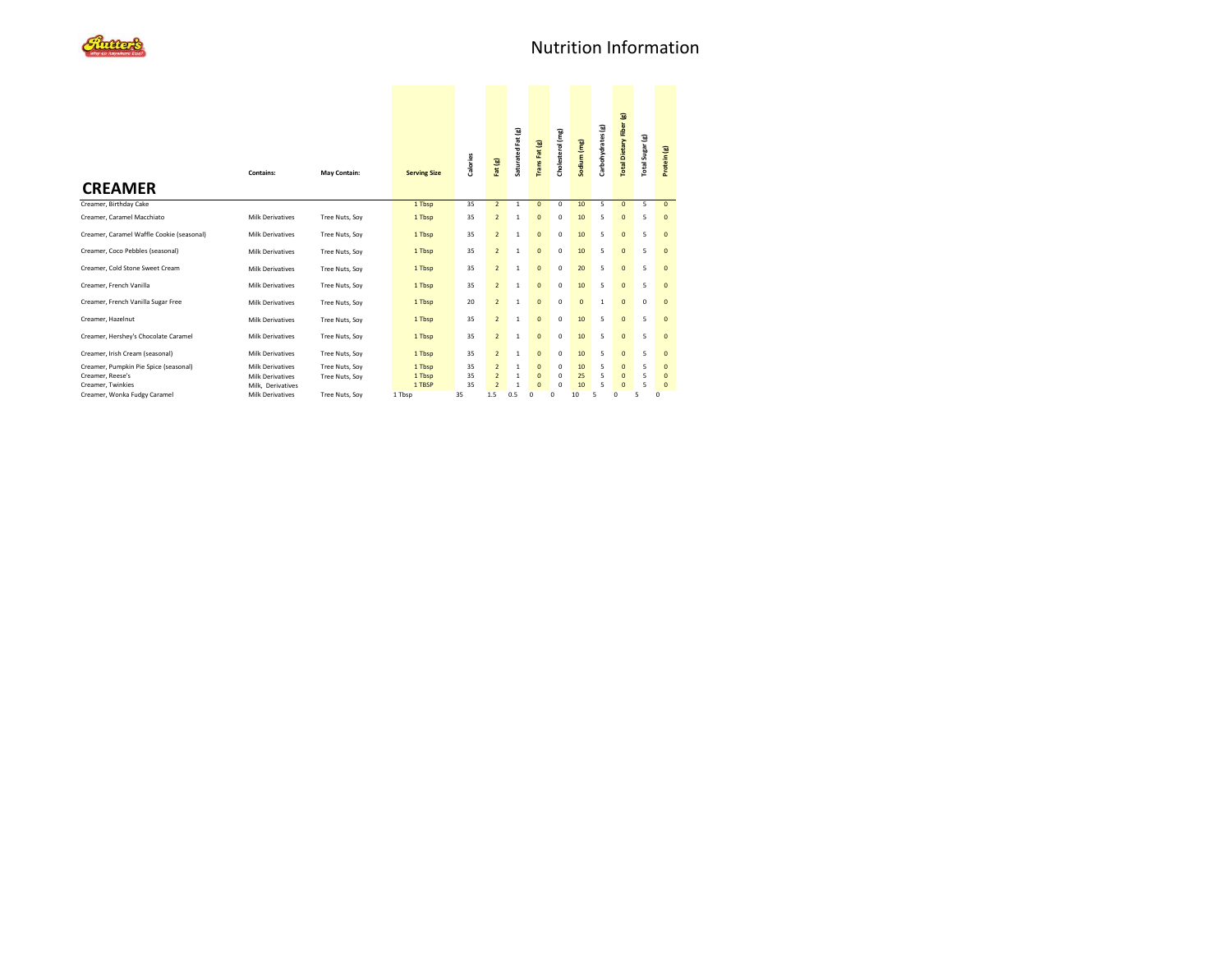| <b>CREAMER</b>                            | Contains:               | May Contain:   | <b>Serving Size</b> | <b>Calories</b> | Fat (g)        | Saturated Fat (g) | Trans Fat (g)  | Cholesterol (mg) | Sodium (mg)  | Carbohydrates (g) | Total Dietary Fiber (g) | Total Sugar (g) | Protein (g)    |
|-------------------------------------------|-------------------------|----------------|---------------------|-----------------|----------------|-------------------|----------------|------------------|--------------|-------------------|-------------------------|-----------------|----------------|
| Creamer, Birthday Cake                    |                         |                | 1 Tbsp              | 35              | $\overline{2}$ | 1                 | $\Omega$       | $\mathbf 0$      | 10           | 5                 | $\mathbf{0}$            | 5               | $\Omega$       |
| Creamer, Caramel Macchiato                | <b>Milk Derivatives</b> | Tree Nuts, Soy | 1 Tbsp              | 35              | $\overline{2}$ | 1                 | $\mathbf{0}$   | $\mathbf 0$      | 10           | 5                 | $\mathbf{0}$            | 5               | $\mathbf{0}$   |
| Creamer, Caramel Waffle Cookie (seasonal) | <b>Milk Derivatives</b> | Tree Nuts, Soy | 1 Tbsp              | 35              | $\overline{2}$ | 1                 | $\mathbf{0}$   | $\mathbf 0$      | 10           | 5                 | $\mathbf{0}$            | 5               | $\mathbf{0}$   |
| Creamer, Coco Pebbles (seasonal)          | <b>Milk Derivatives</b> | Tree Nuts, Soy | 1 Tbsp              | 35              | $\overline{2}$ | $\mathbf{1}$      | $\mathbf{0}$   | $\mathbf 0$      | 10           | 5                 | $\mathbf{0}$            | 5               | $\mathbf{0}$   |
| Creamer, Cold Stone Sweet Cream           | <b>Milk Derivatives</b> | Tree Nuts, Soy | 1 Tbsp              | 35              | $\overline{2}$ | 1                 | $\mathbf{0}$   | $\mathbf 0$      | 20           | 5                 | $\mathbf{0}$            | 5               | $\mathbf{0}$   |
| Creamer, French Vanilla                   | <b>Milk Derivatives</b> | Tree Nuts, Soy | 1 Tbsp              | 35              | $\overline{2}$ | $\mathbf{1}$      | $\mathbf{0}$   | $\mathbf 0$      | 10           | 5                 | $\mathbf{0}$            | 5               | $\mathbf{0}$   |
| Creamer, French Vanilla Sugar Free        | <b>Milk Derivatives</b> | Tree Nuts, Soy | 1 Tbsp              | 20              | $\overline{2}$ | $\mathbf{1}$      | $\mathbf{0}$   | $\mathbf 0$      | $\mathbf{0}$ | $\mathbf{1}$      | $\mathbf{0}$            | $\mathbf 0$     | $\mathbf{0}$   |
| Creamer, Hazelnut                         | <b>Milk Derivatives</b> | Tree Nuts, Soy | 1 Tbsp              | 35              | $\overline{2}$ | 1                 | $\mathbf{0}$   | $\mathbf 0$      | 10           | 5                 | $\mathbf{0}$            | 5               | $\mathbf{0}$   |
| Creamer, Hershey's Chocolate Caramel      | <b>Milk Derivatives</b> | Tree Nuts, Soy | 1 Tbsp              | 35              | $\overline{2}$ | 1                 | $\mathbf{0}$   | $\mathbf 0$      | 10           | 5                 | $\mathbf{0}$            | 5               | $\mathbf{0}$   |
| Creamer, Irish Cream (seasonal)           | <b>Milk Derivatives</b> | Tree Nuts, Soy | 1 Tbsp              | 35              | $\overline{2}$ | $\mathbf{1}$      | $\mathbf{0}$   | $\mathbf 0$      | 10           | 5                 | $\mathbf{0}$            | 5               | $\mathbf 0$    |
| Creamer, Pumpkin Pie Spice (seasonal)     | <b>Milk Derivatives</b> | Tree Nuts, Sov | 1 Tbsp              | 35              | $\overline{2}$ | 1                 | $\overline{0}$ | $\mathbf 0$      | 10           | 5                 | $\mathbf{0}$            | 5               | $\mathbf 0$    |
| Creamer, Reese's                          | <b>Milk Derivatives</b> | Tree Nuts, Soy | 1 Tbsp              | 35              | $\overline{2}$ | $\mathbf{1}$      | $\mathbf{0}$   | $\mathbf 0$      | 25           | 5                 | $\overline{0}$          | 5               | $\mathbf{0}$   |
| Creamer, Twinkies                         | Milk, Derivatives       |                | 1 TBSP              | 35              | $\overline{2}$ | 1                 | $\overline{0}$ | $\mathbf 0$      | 10           | 5                 | $\overline{0}$          | 5               | $\overline{0}$ |
| Creamer, Wonka Fudgy Caramel              | <b>Milk Derivatives</b> | Tree Nuts, Soy | 1 Tbsp              | 35              | 1.5            | 0.5               | $\mathbf 0$    | $\Omega$         | 10           | 5                 | $\mathbf 0$             | 5               | $\Omega$       |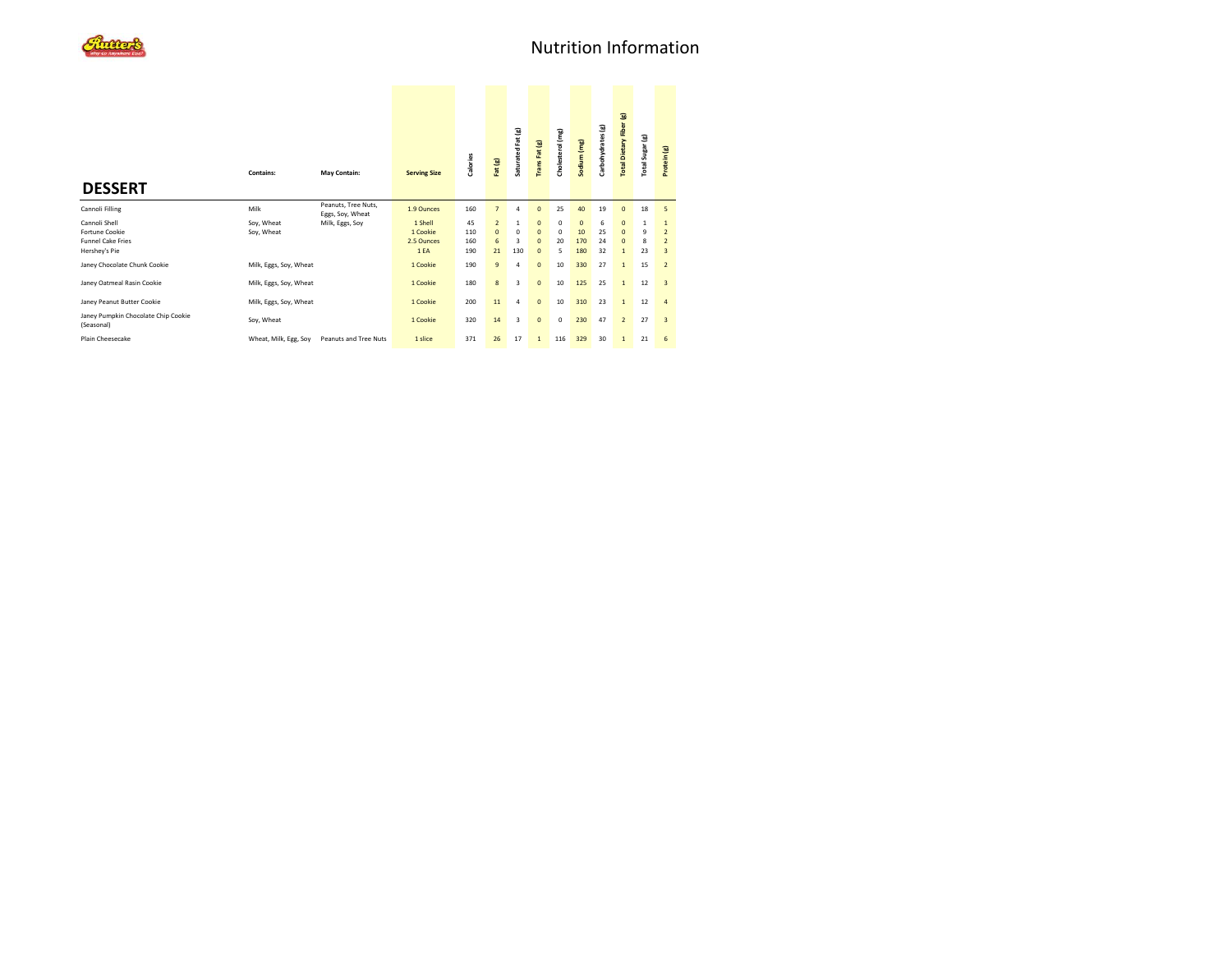| <b>DESSERT</b>                                                               | <b>Contains:</b>         | May Contain:                            | <b>Serving Size</b>                      | Calories                | Fat (g)                                   | Saturated Fat (g)                                    | <b>TransFat (g)</b>                                                | Cholesterol (mg)            | Sodium (mg)                        | Carbohydrates (g)   | Total Dietary Fiber (g)                                      | Total Sugar (g)              | Protein (g)                                           |
|------------------------------------------------------------------------------|--------------------------|-----------------------------------------|------------------------------------------|-------------------------|-------------------------------------------|------------------------------------------------------|--------------------------------------------------------------------|-----------------------------|------------------------------------|---------------------|--------------------------------------------------------------|------------------------------|-------------------------------------------------------|
| Cannoli Filling                                                              | Milk                     | Peanuts, Tree Nuts,<br>Eggs, Soy, Wheat | 1.9 Ounces                               | 160                     | $\overline{7}$                            | $\overline{a}$                                       | $\mathbf{0}$                                                       | 25                          | 40                                 | 19                  | $\mathbf{0}$                                                 | 18                           | 5                                                     |
| Cannoli Shell<br>Fortune Cookie<br><b>Funnel Cake Fries</b><br>Hershey's Pie | Soy, Wheat<br>Soy, Wheat | Milk, Eggs, Soy                         | 1 Shell<br>1 Cookie<br>2.5 Ounces<br>1EA | 45<br>110<br>160<br>190 | $\overline{2}$<br>$\mathbf{0}$<br>6<br>21 | $\mathbf{1}$<br>$\mathbf 0$<br>$\overline{3}$<br>130 | $\mathbf{0}$<br>$\overline{0}$<br>$\overline{0}$<br>$\overline{0}$ | 0<br>$\mathbf 0$<br>20<br>5 | $\overline{0}$<br>10<br>170<br>180 | 6<br>25<br>24<br>32 | $\mathbf{0}$<br>$\mathbf{0}$<br>$\mathbf{0}$<br>$\mathbf{1}$ | $\mathbf{1}$<br>9<br>8<br>23 | $\mathbf{1}$<br>$\overline{2}$<br>$\overline{2}$<br>3 |
| Janey Chocolate Chunk Cookie                                                 | Milk, Eggs, Soy, Wheat   |                                         | 1 Cookie                                 | 190                     | $\overline{9}$                            | $\overline{a}$                                       | $\mathbf{0}$                                                       | 10                          | 330                                | 27                  | $\mathbf{1}$                                                 | 15                           | $\overline{2}$                                        |
| Janey Oatmeal Rasin Cookie                                                   | Milk, Eggs, Soy, Wheat   |                                         | 1 Cookie                                 | 180                     | 8                                         | 3                                                    | $\mathbf{0}$                                                       | 10                          | 125                                | 25                  | $\mathbf{1}$                                                 | 12                           | $\overline{3}$                                        |
| Janey Peanut Butter Cookie                                                   | Milk, Eggs, Soy, Wheat   |                                         | 1 Cookie                                 | 200                     | 11                                        | 4                                                    | $\mathbf{0}$                                                       | 10                          | 310                                | 23                  | $\mathbf{1}$                                                 | 12                           | $\overline{4}$                                        |
| Janey Pumpkin Chocolate Chip Cookie<br>(Seasonal)                            | Soy, Wheat               |                                         | 1 Cookie                                 | 320                     | 14                                        | 3                                                    | $\mathbf{0}$                                                       | $\mathbf 0$                 | 230                                | 47                  | $\overline{2}$                                               | 27                           | $\overline{3}$                                        |
| Plain Cheesecake                                                             | Wheat, Milk, Egg, Soy    | Peanuts and Tree Nuts                   | 1 slice                                  | 371                     | 26                                        | 17                                                   | $\mathbf{1}$                                                       | 116                         | 329                                | 30                  | $\mathbf{1}$                                                 | 21                           | 6                                                     |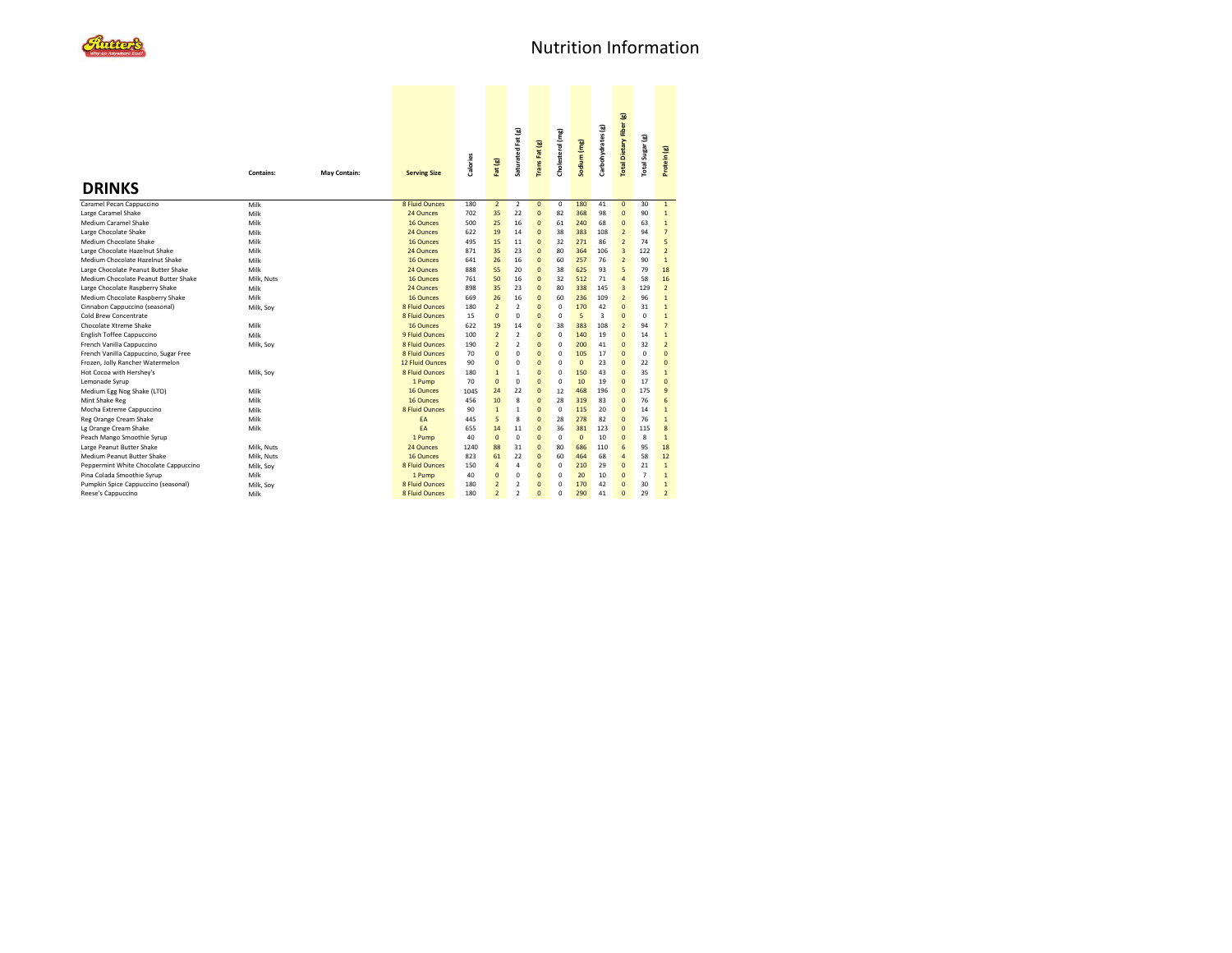|                                       |            |                     |                       |          |                | Saturated Fat (g) | <b>TransFat (g)</b> | Cholesterol (mg) | Sodium (mg)  | Carbohydrates (g) | <b>Total Dietary Fiber (g)</b> | Total Sugar (g) |                |  |
|---------------------------------------|------------|---------------------|-----------------------|----------|----------------|-------------------|---------------------|------------------|--------------|-------------------|--------------------------------|-----------------|----------------|--|
|                                       | Contains:  | <b>May Contain:</b> | <b>Serving Size</b>   | Calories | Fat (g)        |                   |                     |                  |              |                   |                                |                 | Protein (g)    |  |
| <b>DRINKS</b>                         |            |                     |                       |          |                |                   |                     |                  |              |                   |                                |                 |                |  |
| Caramel Pecan Cappuccino              | Milk       |                     | <b>8 Fluid Ounces</b> | 180      | $\overline{2}$ | $\overline{2}$    | $\mathbf{0}$        | $\mathbf 0$      | 180          | 41                | $\overline{0}$                 | 30              | $\mathbf{1}$   |  |
| Large Caramel Shake                   | Milk       |                     | 24 Ounces             | 702      | 35             | 22                | $\mathbf{0}$        | 82               | 368          | 98                | $\overline{0}$                 | 90              | $\mathbf{1}$   |  |
| Medium Caramel Shake                  | Milk       |                     | 16 Ounces             | 500      | 25             | 16                | $\mathbf{0}$        | 61               | 240          | 68                | $\Omega$                       | 63              | $\mathbf{1}$   |  |
| Large Chocolate Shake                 | Milk       |                     | 24 Ounces             | 622      | 19             | 14                | $\mathbf{0}$        | 38               | 383          | 108               | $\overline{2}$                 | 94              | $\overline{7}$ |  |
| Medium Chocolate Shake                | Milk       |                     | 16 Ounces             | 495      | 15             | 11                | $\mathbf{0}$        | 32               | 271          | 86                | $\overline{2}$                 | 74              | 5              |  |
| Large Chocolate Hazelnut Shake        | Milk       |                     | 24 Ounces             | 871      | 35             | 23                | $\mathbf{0}$        | 80               | 364          | 106               | $\overline{3}$                 | 122             | $\overline{2}$ |  |
| Medium Chocolate Hazelnut Shake       | Milk       |                     | 16 Ounces             | 641      | 26             | 16                | $\mathbf{0}$        | 60               | 257          | 76                | $\overline{2}$                 | 90              | $\mathbf{1}$   |  |
| Large Chocolate Peanut Butter Shake   | Milk       |                     | 24 Ounces             | 888      | 55             | 20                | $\mathbf{0}$        | 38               | 625          | 93                | 5                              | 79              | 18             |  |
| Medium Chocolate Peanut Butter Shake  | Milk, Nuts |                     | 16 Ounces             | 761      | 50             | 16                | $\mathbf{0}$        | 32               | 512          | 71                | $\overline{a}$                 | 58              | 16             |  |
| Large Chocolate Raspberry Shake       | Milk       |                     | 24 Ounces             | 898      | 35             | 23                | $\mathbf{0}$        | 80               | 338          | 145               | $\overline{3}$                 | 129             | $\overline{2}$ |  |
| Medium Chocolate Raspberry Shake      | Milk       |                     | 16 Ounces             | 669      | 26             | 16                | $\mathbf{0}$        | 60               | 236          | 109               | $\overline{2}$                 | 96              | $\mathbf{1}$   |  |
| Cinnabon Cappuccino (seasonal)        | Milk, Soy  |                     | 8 Fluid Ounces        | 180      | $\overline{2}$ | $\overline{2}$    | $\mathbf{0}$        | 0                | 170          | 42                | $\overline{0}$                 | 31              | $\mathbf{1}$   |  |
| Cold Brew Concentrate                 |            |                     | <b>8 Fluid Ounces</b> | 15       | $\mathbf{0}$   | $\mathbf 0$       | $\mathbf{0}$        | 0                | 5            | 3                 | $\Omega$                       | $\Omega$        | $\mathbf{1}$   |  |
| Chocolate Xtreme Shake                | Milk       |                     | 16 Qunces             | 622      | 19             | 14                | $\mathbf{0}$        | 38               | 383          | 108               | $\overline{2}$                 | 94              | $\overline{7}$ |  |
| English Toffee Cappuccino             | Milk       |                     | 9 Fluid Ounces        | 100      | $\overline{2}$ | $\overline{2}$    | $\mathbf{0}$        | $\Omega$         | 140          | 19                | $\overline{0}$                 | 14              | $\mathbf{1}$   |  |
| French Vanilla Cappuccino             | Milk, Soy  |                     | <b>8 Fluid Ounces</b> | 190      | $\overline{2}$ | $\overline{2}$    | $\mathbf{0}$        | $\Omega$         | 200          | 41                | $\Omega$                       | 32              | $\overline{2}$ |  |
| French Vanilla Cappuccino, Sugar Free |            |                     | 8 Fluid Ounces        | 70       | $\mathbf{0}$   | $\Omega$          | $\mathbf{0}$        | $\Omega$         | 105          | 17                | $\Omega$                       | $\Omega$        | $\Omega$       |  |
| Frozen, Jolly Rancher Watermelon      |            |                     | 12 Fluid Qunces       | 90       | $\mathbf{0}$   | $\mathbf 0$       | $\mathbf{0}$        | $\Omega$         | $\Omega$     | 23                | $\Omega$                       | 22              | $\Omega$       |  |
| Hot Cocoa with Hershey's              | Milk, Soy  |                     | 8 Fluid Ounces        | 180      | $\mathbf{1}$   | $\mathbf{1}$      | $\mathbf{0}$        | $\Omega$         | 150          | 43                | $\Omega$                       | 35              | $\mathbf{1}$   |  |
| Lemonade Syrup                        |            |                     | 1 Pump                | 70       | $\mathbf{0}$   | $\Omega$          | $\mathbf{0}$        | $\Omega$         | 10           | 19                | $\overline{0}$                 | 17              | $\Omega$       |  |
| Medium Egg Nog Shake (LTO)            | Milk       |                     | 16 Ounces             | 1045     | 24             | 22                | $\mathbf{0}$        | 12               | 468          | 196               | $\overline{0}$                 | 175             | 9              |  |
| Mint Shake Reg                        | Milk       |                     | 16 Qunces             | 456      | 10             | 8                 | $\Omega$            | 28               | 319          | 83                | $\Omega$                       | 76              | 6              |  |
| Mocha Extreme Cappuccino              | Milk       |                     | <b>8 Fluid Ounces</b> | 90       | $\mathbf{1}$   | $\mathbf{1}$      | $\mathbf{0}$        | $\Omega$         | 115          | 20                | $\Omega$                       | 14              | $\mathbf{1}$   |  |
| Reg Orange Cream Shake                | Milk       |                     | EA                    | 445      | 5              | 8                 | $\mathbf{0}$        | 28               | 278          | 82                | $\Omega$                       | 76              | $\mathbf{1}$   |  |
| Lg Orange Cream Shake                 | Milk       |                     | FA                    | 655      | 14             | 11                | $\mathbf{0}$        | 36               | 381          | 123               | $\Omega$                       | 115             | $\mathbf{8}$   |  |
| Peach Mango Smoothie Syrup            |            |                     | 1 Pump                | 40       | $\mathbf{0}$   | 0                 | $\mathbf{0}$        | 0                | $\mathbf{0}$ | 10                | $\Omega$                       | 8               | $\mathbf{1}$   |  |
| Large Peanut Butter Shake             | Milk. Nuts |                     | 24 Ounces             | 1240     | 88             | 31                | $\mathbf{0}$        | 80               | 686          | 110               | 6                              | 95              | 18             |  |
| Medium Peanut Butter Shake            | Milk, Nuts |                     | 16 Ounces             | 823      | 61             | 22                | $\mathbf{0}$        | 60               | 464          | 68                | $\overline{a}$                 | 58              | 12             |  |
| Peppermint White Chocolate Cappuccino | Milk, Soy  |                     | <b>8 Fluid Ounces</b> | 150      | $\overline{a}$ | 4                 | $\mathbf{0}$        | 0                | 210          | 29                | $\Omega$                       | 21              | $\mathbf{1}$   |  |
| Pina Colada Smoothie Syrup            | Milk       |                     | 1 Pump                | 40       | $\mathbf{0}$   | $\mathbf 0$       | $\mathbf{0}$        | 0                | 20           | 10                | $\Omega$                       | $\overline{7}$  | $\mathbf{1}$   |  |
| Pumpkin Spice Cappuccino (seasonal)   | Milk, Soy  |                     | <b>8 Fluid Ounces</b> | 180      | $\overline{2}$ | $\mathfrak{p}$    | $\overline{0}$      | 0                | 170          | 42                | $\Omega$                       | 30              | $\mathbf{1}$   |  |
| Reese's Cappuccino                    | Milk       |                     | <b>8 Fluid Ounces</b> | 180      | $\overline{2}$ | $\mathfrak{p}$    | $\Omega$            | O                | 290          | 41                | $\Omega$                       | 29              | $\overline{2}$ |  |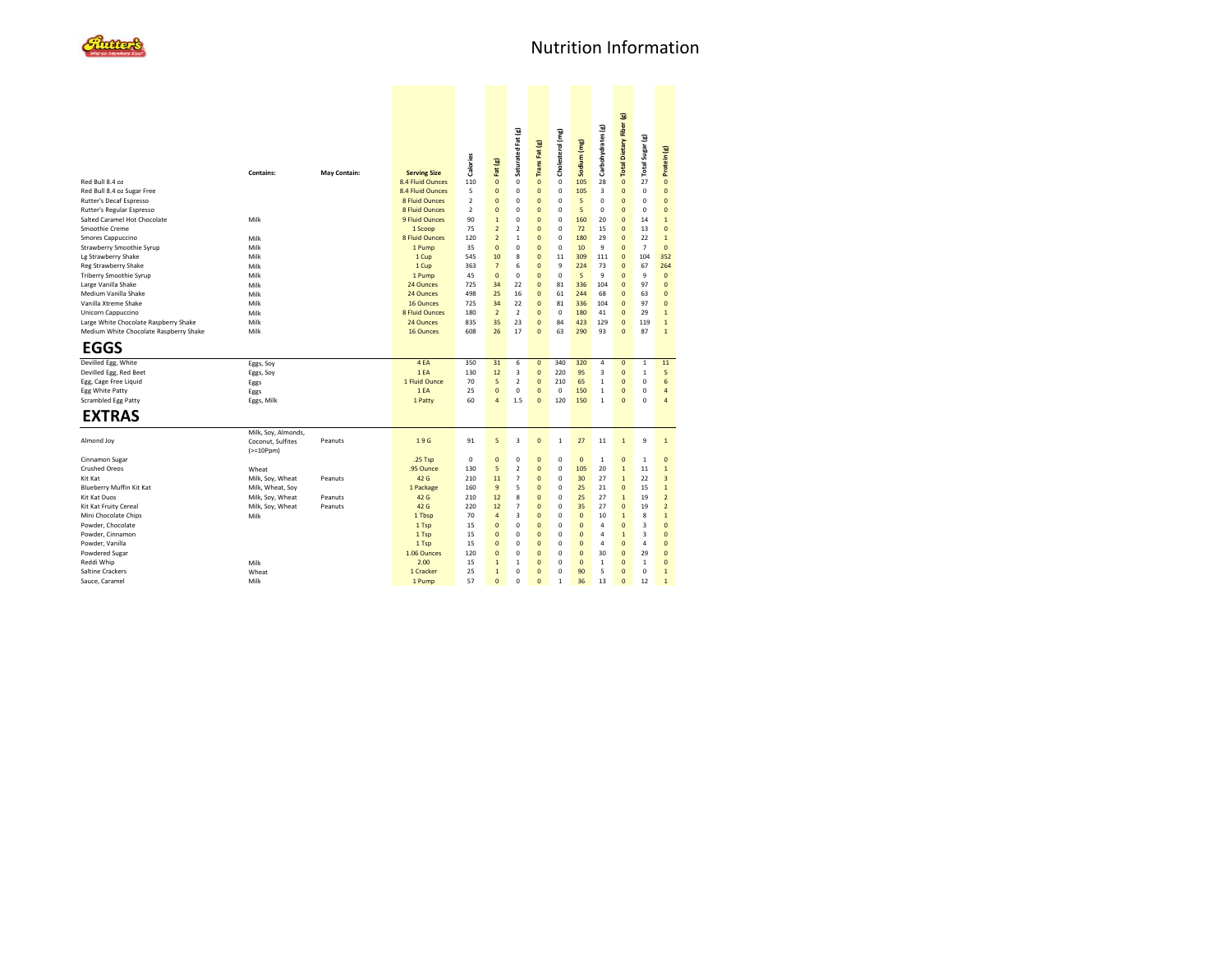

|                                        |                     |              |                       |                 |                              |                             |                                  |                  |                                |                    | Total Dietary Fiber (g)    |                         |                         |
|----------------------------------------|---------------------|--------------|-----------------------|-----------------|------------------------------|-----------------------------|----------------------------------|------------------|--------------------------------|--------------------|----------------------------|-------------------------|-------------------------|
|                                        |                     |              |                       |                 |                              |                             |                                  |                  |                                | Carbohydrates (g)  |                            |                         |                         |
|                                        |                     |              |                       |                 |                              | Saturated Fat (g)           |                                  | Cholesterol (mg) |                                |                    |                            | Total Sugar (g)         |                         |
|                                        |                     |              |                       |                 |                              |                             | Trans Fat (g)                    |                  | Sodium (mg)                    |                    |                            |                         |                         |
|                                        |                     |              |                       |                 |                              |                             |                                  |                  |                                |                    |                            |                         |                         |
|                                        | <b>Contains:</b>    | May Contain: | <b>Serving Size</b>   | <b>Calories</b> | Fat (g)                      |                             |                                  |                  |                                |                    |                            |                         | Protein (g)             |
| Red Bull 8.4 oz                        |                     |              | 8.4 Fluid Ounces      | 110             | $\mathbf{0}$                 | $\mathbf 0$                 | $\mathbf{0}$                     | $\mathbf 0$      | 105                            | 28                 | $\mathbf{0}$               | 27                      | $\mathbf{0}$            |
| Red Bull 8.4 oz Sugar Free             |                     |              | 8.4 Fluid Ounces      | 5               | $\bf{0}$                     | $\mathbf 0$                 | $\pmb{0}$                        | 0                | 105                            | 3                  | $\mathbf{0}$               | 0                       | $\mathbf{0}$            |
| Rutter's Decaf Espresso                |                     |              | 8 Fluid Ounces        | $\overline{a}$  | $\mathbf{0}$                 | $\mathbf 0$                 | $\overline{0}$                   | 0                | 5                              | 0                  | $\mathbf 0$                | $\mathbf 0$             | $\overline{0}$          |
| Rutter's Regular Espresso              |                     |              | <b>8 Fluid Ounces</b> | $\overline{2}$  | $\mathbf{0}$                 | $\mathbf 0$                 | $\overline{0}$                   | 0                | 5                              | 0                  | $\mathbf 0$                | $\mathbf 0$             | $\mathbf 0$             |
| Salted Caramel Hot Chocolate           | Milk                |              | 9 Fluid Ounces        | 90              | $\mathbf{1}$                 | $\mathbf 0$                 | $\overline{0}$                   | O                | 160                            | 20                 | $\Omega$                   | 14                      | $\mathbf{1}$            |
| Smoothie Creme                         |                     |              | 1 Scoop               | 75              | $\overline{2}$               | $\overline{2}$              | $\overline{0}$                   | 0                | 72                             | 15                 | $\overline{0}$             | 13                      | $\overline{0}$          |
| Smores Cappuccino                      | Milk                |              | <b>8 Fluid Ounces</b> | 120             | $\mathbf 2$                  | $\mathbf{1}$                | $\overline{0}$                   | O                | 180                            | 29                 | $\Omega$                   | 22                      | $\overline{1}$          |
| Strawberry Smoothie Syrup              | Milk                |              | 1 Pump                | 35              | $\pmb{0}$                    | $\mathbf 0$                 | $\overline{0}$                   | $\mathbf 0$      | 10                             | 9                  | $\overline{0}$             | $\overline{7}$          | $\overline{0}$          |
| Lg Strawberry Shake                    | Milk                |              | 1 Cup                 | 545             | 10                           | 8                           | $\overline{0}$                   | 11               | 309                            | 111                | $\overline{0}$             | 104                     | 352                     |
| Reg Strawberry Shake                   | Milk                |              | 1 Cup                 | 363             | $\overline{7}$               | 6                           | $\mathbf{0}$                     | 9                | 224                            | 73                 | $\overline{0}$             | 67                      | 264                     |
| <b>Triberry Smoothie Syrup</b>         | Milk                |              | 1 Pump                | 45              | $\bf{0}$                     | $\pmb{0}$                   | $\overline{0}$                   | 0                | 5                              | 9                  | $\overline{0}$             | 9                       | $\mathbf{0}$            |
| Large Vanilla Shake                    | Milk                |              | 24 Ounces             | 725             | 34                           | 22                          | $\overline{0}$                   | 81               | 336                            | 104                | $\Omega$                   | 97                      | $\overline{0}$          |
| Medium Vanilla Shake                   | Milk                |              | 24 Ounces             | 498             | 25                           | 16                          | $\mathbf{0}$                     | 61               | 244                            | 68                 | $\overline{0}$             | 63                      | $\overline{0}$          |
| Vanilla Xtreme Shake                   | Milk                |              | 16 Ounces             | 725             | 34                           | 22                          | $\overline{0}$                   | 81               | 336                            | 104                | $\overline{0}$             | 97                      | $\overline{0}$          |
| Unicorn Cappuccino                     | Milk                |              | 8 Fluid Ounces        | 180             | $\overline{2}$               | $\overline{2}$              | $\mathbf{0}$                     | 0                | 180                            | 41                 | $\overline{0}$             | 29                      | $\overline{1}$          |
| Large White Chocolate Raspberry Shake  | Milk                |              | 24 Ounces             | 835             | 35                           | 23                          | $\overline{0}$                   | 84               | 423                            | 129                | $\mathbf{0}$               | 119                     | $\mathbf{1}$            |
| Medium White Chocolate Raspberry Shake | Milk                |              | 16 Ounces             | 608             | 26                           | 17                          | $\Omega$                         | 63               | 290                            | 93                 | $\Omega$                   | 87                      | $\mathbf{1}$            |
| <b>EGGS</b>                            |                     |              |                       |                 |                              |                             |                                  |                  |                                |                    |                            |                         |                         |
| Devilled Egg, White                    | Eggs, Soy           |              | 4EA                   | 350             | 31                           | 6                           | $\mathbf{0}$                     | 340              | 320                            | 4                  | $\mathbf{0}$               | $\mathbf 1$             | 11                      |
| Devilled Egg, Red Beet                 | Eggs, Soy           |              | 1EA                   | 130             | 12                           | $\overline{\mathbf{3}}$     | $\mathbf{0}$                     | 220              | 95                             | 3                  | $\overline{0}$             | $\mathbf{1}$            | 5                       |
| Egg, Cage Free Liquid                  | Eggs                |              | 1 Fluid Ounce         | 70              | 5                            | $\overline{2}$              | $\overline{0}$                   | 210              | 65                             | $\mathbf 1$        | $\mathbf{0}$               | 0                       | 6                       |
| <b>Egg White Patty</b>                 | Eggs                |              | 1EA                   | 25              | $\mathbf{0}$                 | $\mathbf 0$                 | $\Omega$                         | $\mathbf 0$      | 150                            | $\mathbf{1}$       | $\Omega$                   | $\mathbf 0$             | $\overline{a}$          |
| Scrambled Egg Patty                    | Eggs, Milk          |              | 1 Patty               | 60              | $\overline{a}$               | 1.5                         | $\Omega$                         | 120              | 150                            | $\mathbf{1}$       | $\Omega$                   | $\Omega$                | $\overline{a}$          |
|                                        |                     |              |                       |                 |                              |                             |                                  |                  |                                |                    |                            |                         |                         |
| <b>EXTRAS</b>                          |                     |              |                       |                 |                              |                             |                                  |                  |                                |                    |                            |                         |                         |
|                                        | Milk, Soy, Almonds, |              |                       |                 |                              |                             |                                  |                  |                                |                    |                            |                         |                         |
| Almond Joy                             | Coconut, Sulfites   | Peanuts      | 19G                   | 91              | 5                            | $\overline{3}$              | $\pmb{0}$                        | $\,1\,$          | 27                             | 11                 | $\mathbf 1$                | 9                       | $\mathbf 1$             |
|                                        | $(>=10Ppm)$         |              |                       |                 |                              |                             |                                  |                  |                                |                    |                            |                         |                         |
| Cinnamon Sugar                         |                     |              | .25 Tsp               | 0               | $\mathbf{0}$                 | $\mathbf 0$                 | $\overline{0}$                   | 0                | $\overline{0}$                 | $\mathbf{1}$       | $\mathbf 0$                | $\mathbf{1}$            | $\overline{0}$          |
| <b>Crushed Oreos</b>                   | Wheat               |              | .95 Ounce             | 130             | 5                            | $\boldsymbol{2}$            | $\overline{0}$                   | 0                | 105                            | 20                 | $\mathbf{1}$               | 11                      | $\mathbf 1$             |
| Kit Kat                                | Milk, Soy, Wheat    | Peanuts      | 42 G                  | 210             | 11                           | $\overline{7}$              | $\overline{0}$                   | 0                | 30                             | 27                 | $\mathbf{1}$               | 22                      | $\overline{3}$          |
| Blueberry Muffin Kit Kat               | Milk, Wheat, Soy    |              | 1 Package             | 160             | $\boldsymbol{9}$             | 5                           | $\overline{0}$                   | 0                | 25                             | 21                 | $\overline{0}$             | 15                      | $\mathbf{1}$            |
| Kit Kat Duos                           | Milk, Soy, Wheat    | Peanuts      | 42 G                  | 210             | 12                           | 8                           | $\overline{0}$                   | 0                | 25                             | 27                 | $\overline{1}$             | 19                      | $\overline{2}$          |
| Kit Kat Fruity Cereal                  | Milk, Soy, Wheat    | Peanuts      | 42 G                  | 220             | 12                           | $\overline{7}$              | $\overline{0}$                   | 0                | 35                             | 27                 | $\overline{0}$             | 19                      | $\overline{2}$          |
| Mini Chocolate Chips                   | Milk                |              | 1 Tbsp                | 70              | $\overline{4}$               | $\overline{\mathbf{3}}$     | $\overline{0}$                   | O                | $\mathbf{0}$                   | 10                 | $\overline{1}$             | 8                       | $\overline{1}$          |
| Powder, Chocolate                      |                     |              | 1 Tsp                 | 15              | $\bf{0}$                     | $\mathbf 0$                 | $\overline{0}$                   | 0                | $\mathbf{0}$                   | 4                  | $\overline{0}$             | $\overline{\mathbf{3}}$ | $\overline{0}$          |
| Powder, Cinnamon                       |                     |              | 1 Tsp                 | 15              | $\mathbf{0}$                 | $\mathbf 0$                 | $\overline{0}$                   | 0                | $\overline{0}$                 | 4                  | $\overline{1}$             | $\overline{\mathbf{3}}$ | $\overline{0}$          |
| Powder, Vanilla                        |                     |              | 1 Tsp                 | 15              | $\mathbf{0}$                 | $\mathbf 0$                 | $\mathbf{0}$                     | O                | $\mathbf{0}$                   | 4                  | $\overline{0}$             | 4                       | $\mathbf 0$<br>$\Omega$ |
| Powdered Sugar                         |                     |              | 1.06 Ounces<br>2.00   | 120<br>15       | $\mathbf{0}$                 | $\mathbf 0$<br>$\mathbf{1}$ | $\overline{0}$<br>$\overline{0}$ | 0<br>O           | $\overline{0}$<br>$\mathbf{0}$ | 30<br>$\mathbf{1}$ | $\overline{0}$<br>$\Omega$ | 29<br>$\mathbf{1}$      | $\overline{0}$          |
| Reddi Whip<br>Saltine Crackers         | Milk<br>Wheat       |              | 1 Cracker             | 25              | $\mathbf{1}$<br>$\mathbf{1}$ | $\mathbf 0$                 | $\mathbf{0}$                     | O                | 90                             | 5                  | $\overline{0}$             | $\mathbf 0$             | $\overline{1}$          |
| Sauce, Caramel                         | Milk                |              | 1 Pump                | 57              | $\Omega$                     | $\Omega$                    | $\Omega$                         | 1                | 36                             | 13                 | $\Omega$                   | 12                      | $\mathbf{1}$            |
|                                        |                     |              |                       |                 |                              |                             |                                  |                  |                                |                    |                            |                         |                         |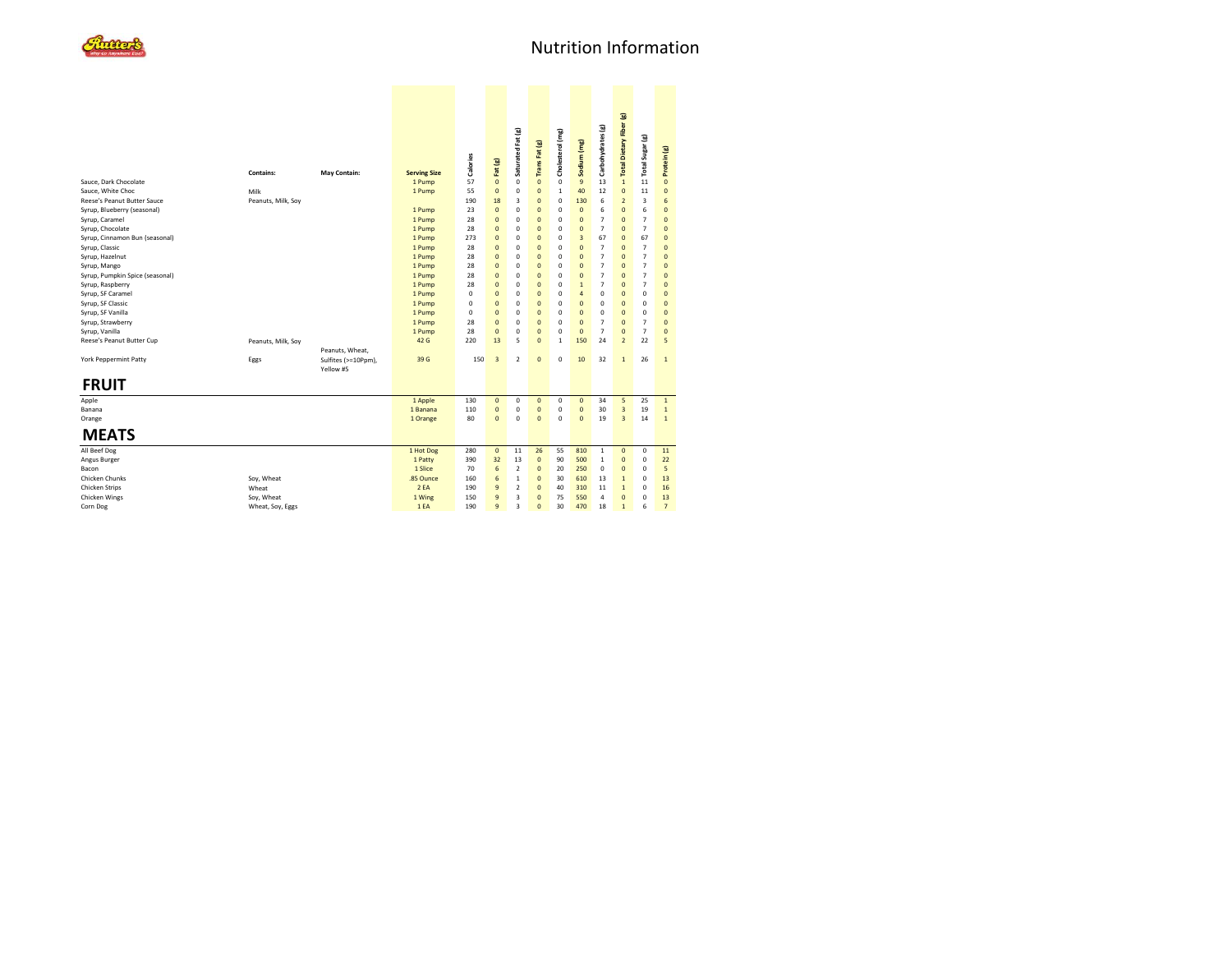

|                                 |                    |                                  |                     | Calories    | Fat (g)        | Saturated Fat (g)       | Trans Fat (g)       | Cholesterol (mg) | Sodium (mg)    | Carbohydrates (g) | Total Dietary Fiber (g) | Total Sugar (g) | Protein (g)    |  |
|---------------------------------|--------------------|----------------------------------|---------------------|-------------|----------------|-------------------------|---------------------|------------------|----------------|-------------------|-------------------------|-----------------|----------------|--|
|                                 | <b>Contains:</b>   | May Contain:                     | <b>Serving Size</b> | 57          | $\pmb{0}$      |                         | $\mathbf 0$         | 0                | 9              |                   | $\mathbf{1}$            |                 |                |  |
| Sauce, Dark Chocolate           |                    |                                  | 1 Pump              |             |                | 0                       |                     |                  |                | 13                | $\mathbf{0}$            | 11              | $\mathbf{0}$   |  |
| Sauce, White Choc               | Milk               |                                  | 1 Pump              | 55          | $\mathbf{0}$   | 0                       | $\overline{0}$<br>Ō | $\mathbf{1}$     | 40             | 12                |                         | 11              | $\overline{0}$ |  |
| Reese's Peanut Butter Sauce     | Peanuts, Milk, Soy |                                  |                     | 190         | 18             | 3                       |                     | $\mathbf 0$      | 130            | 6                 | $\mathbf 2$             | 3               | 6              |  |
| Syrup, Blueberry (seasonal)     |                    |                                  | 1 Pump              | 23          | $\mathbf{0}$   | 0                       | $\overline{0}$      | $\mathbf 0$      | $\pmb{0}$      | 6                 | $\mathbf{0}$            | 6               | $\overline{0}$ |  |
| Syrup, Caramel                  |                    |                                  | 1 Pump              | 28          | $\overline{0}$ | 0                       | $\overline{0}$      | $\mathbf 0$      | $\overline{0}$ | $\overline{7}$    | $\overline{0}$          | $\overline{7}$  | $\overline{0}$ |  |
| Syrup, Chocolate                |                    |                                  | 1 Pump              | 28          | $\overline{0}$ | 0                       | Ō                   | $\mathbf 0$      | $\mathbf{0}$   | $\overline{7}$    | $\overline{0}$          | $\overline{7}$  | $\Omega$       |  |
| Syrup, Cinnamon Bun (seasonal)  |                    |                                  | 1 Pump              | 273         | $\overline{0}$ | 0                       | $\overline{0}$      | $\mathbf 0$      | 3              | 67                | $\overline{0}$          | 67              | $\pmb{0}$      |  |
| Syrup, Classic                  |                    |                                  | 1 Pump              | 28          | $\overline{0}$ | 0                       | $\overline{0}$      | $\mathbf 0$      | $\mathbf{0}$   | $\overline{7}$    | $\overline{0}$          | 7               | $\overline{0}$ |  |
| Syrup, Hazelnut                 |                    |                                  | 1 Pump              | 28          | $\overline{0}$ | 0                       | Ō                   | 0                | $\mathbf{0}$   | $\overline{7}$    | $\mathbf 0$             | $\overline{7}$  | $\Omega$       |  |
| Syrup, Mango                    |                    |                                  | 1 Pump              | 28          | $\overline{0}$ | 0                       | $\overline{0}$      | $\mathbf 0$      | $\mathbf{0}$   | $\overline{7}$    | $\overline{0}$          | 7               | $\overline{0}$ |  |
| Syrup, Pumpkin Spice (seasonal) |                    |                                  | 1 Pump              | 28          | $\overline{0}$ | 0                       | $\overline{0}$      | $\mathbf 0$      | $\overline{0}$ | $\overline{7}$    | $\overline{0}$          | $\overline{7}$  | $\overline{0}$ |  |
| Syrup, Raspberry                |                    |                                  | 1 Pump              | 28          | $\overline{0}$ | 0                       | Ō                   | $\mathbf 0$      | $\mathbf 1$    | $\overline{7}$    | $\mathbf{0}$            | $\overline{7}$  | $\mathbf{0}$   |  |
| Syrup, SF Caramel               |                    |                                  | 1 Pump              | 0           | $\overline{0}$ | 0                       | $\overline{0}$      | $\mathbf 0$      | $\overline{4}$ | 0                 | $\overline{0}$          | 0               | $\overline{0}$ |  |
| Syrup, SF Classic               |                    |                                  | 1 Pump              | 0           | $\mathbf 0$    | 0                       | $\overline{0}$      | $\mathbf 0$      | $\overline{0}$ | 0                 | $\overline{0}$          | 0               | $\mathbf{0}$   |  |
| Syrup, SF Vanilla               |                    |                                  | 1 Pump              | $\mathbf 0$ | $\overline{0}$ | 0                       | Ō                   | $\mathbf 0$      | $\overline{0}$ | 0                 | $\overline{0}$          | 0               | $\mathbf{0}$   |  |
| Syrup, Strawberry               |                    |                                  | 1 Pump              | 28          | $\overline{0}$ | 0                       | $\overline{0}$      | $\mathbf 0$      | $\overline{0}$ | $\overline{7}$    | $\overline{0}$          | 7               | $\overline{0}$ |  |
| Syrup, Vanilla                  |                    |                                  | 1 Pump              | 28          | $\overline{0}$ | 0                       | $\overline{0}$      | $\mathbf 0$      | $\mathbf{0}$   | $\overline{7}$    | $\overline{0}$          | $\overline{7}$  | $\overline{0}$ |  |
| Reese's Peanut Butter Cup       | Peanuts, Milk, Soy |                                  | 42 G                | 220         | 13             | 5                       | $\Omega$            | $\mathbf{1}$     | 150            | 24                | $\mathbf 2$             | 22              | 5              |  |
|                                 |                    | Peanuts, Wheat,                  |                     |             |                |                         |                     |                  |                |                   |                         |                 |                |  |
| <b>York Peppermint Patty</b>    | Eggs               | Sulfites (>=10Ppm),<br>Yellow #5 | 39 G                | 150         | $\overline{3}$ | $\overline{2}$          | $\overline{0}$      | $\mathbf 0$      | 10             | 32                | $\overline{1}$          | 26              | $\mathbf{1}$   |  |
| <b>FRUIT</b>                    |                    |                                  |                     |             |                |                         |                     |                  |                |                   |                         |                 |                |  |
| Apple                           |                    |                                  | 1 Apple             | 130         | $\mathbf{0}$   | 0                       | $\mathbf{0}$        | 0                | $\pmb{0}$      | 34                | 5                       | 25              | $\mathbf 1$    |  |
| Banana                          |                    |                                  | 1 Banana            | 110         | $\mathbf{0}$   | 0                       | $\overline{0}$      | 0                | $\mathbf{0}$   | 30                | $\overline{3}$          | 19              | $\,$ 1         |  |
| Orange                          |                    |                                  | 1 Orange            | 80          | $\mathbf{0}$   | 0                       | $\overline{0}$      | $\mathbf 0$      | $\mathbf{0}$   | 19                | $\overline{3}$          | 14              | $\mathbf{1}$   |  |
| <b>MEATS</b>                    |                    |                                  |                     |             |                |                         |                     |                  |                |                   |                         |                 |                |  |
| All Beef Dog                    |                    |                                  | 1 Hot Dog           | 280         | $\mathbf{0}$   | 11                      | 26                  | 55               | 810            | $\mathbf{1}$      | $\mathbf{0}$            | 0               | 11             |  |
| Angus Burger                    |                    |                                  | 1 Patty             | 390         | 32             | 13                      | $\mathbf 0$         | 90               | 500            | $\,$ 1            | $\mathbf{0}$            | 0               | 22             |  |
| Bacon                           |                    |                                  | 1 Slice             | 70          | 6              | $\overline{2}$          | $\overline{0}$      | 20               | 250            | $\mathbf 0$       | $\overline{0}$          | 0               | 5              |  |
| Chicken Chunks                  | Soy, Wheat         |                                  | .85 Ounce           | 160         | 6              | $\mathbf{1}$            | $\Omega$            | 30               | 610            | 13                | $\overline{1}$          | 0               | 13             |  |
| Chicken Strips                  | Wheat              |                                  | 2EA                 | 190         | $\overline{9}$ | $\overline{\mathbf{2}}$ | $\Omega$            | 40               | 310            | 11                | $\mathbf 1$             | 0               | 16             |  |
| Chicken Wings                   | Soy, Wheat         |                                  | 1 Wing              | 150         | $\mathbf{g}$   | 3                       | $\overline{0}$      | 75               | 550            | 4                 | $\overline{0}$          | 0               | 13             |  |
| Corn Dog                        | Wheat, Soy, Eggs   |                                  | 1EA                 | 190         | $\overline{9}$ | 3                       | $\Omega$            | 30               | 470            | 18                | $\mathbf{1}$            | 6               | $\overline{7}$ |  |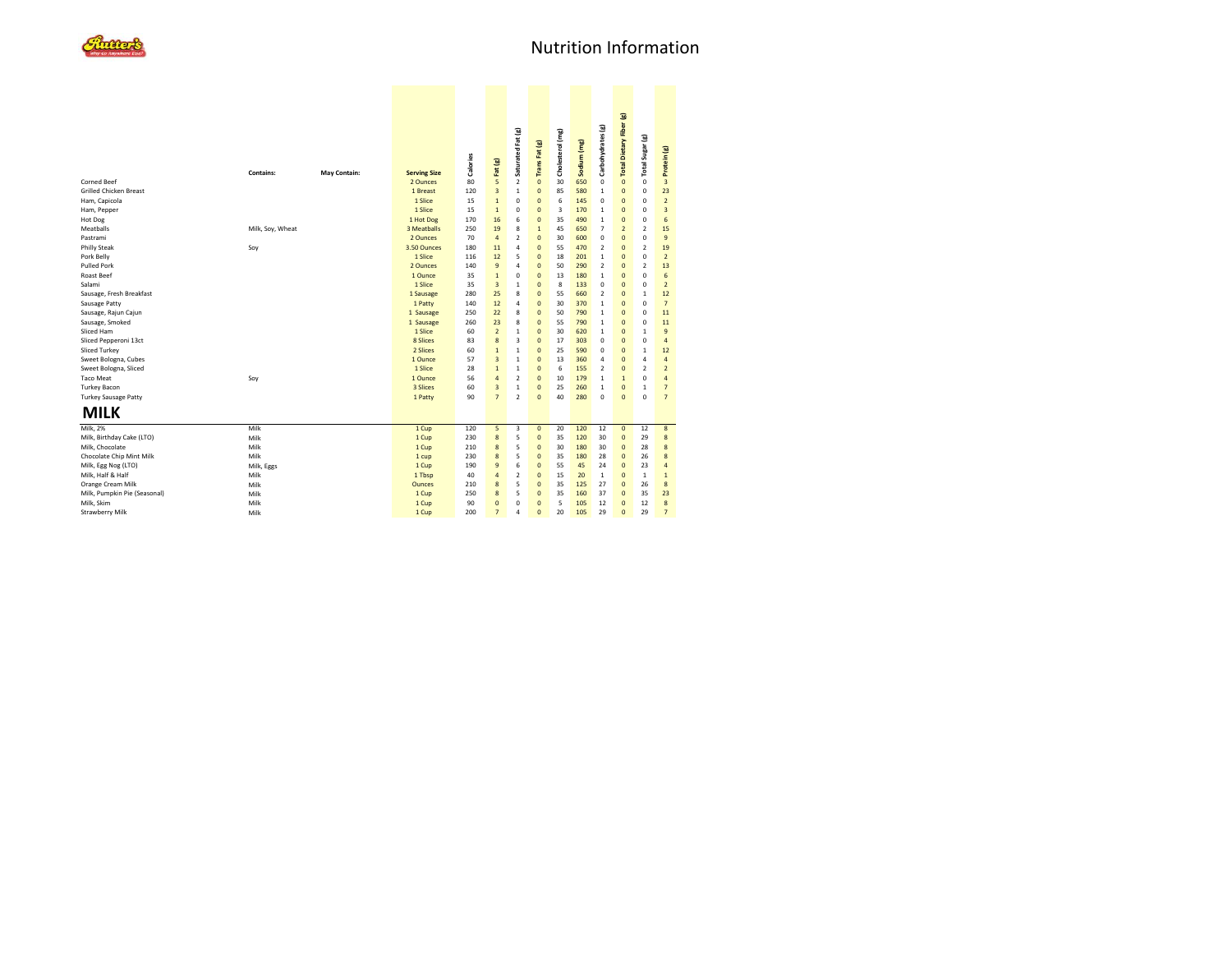

|                               | <b>Contains:</b> |              |                                 | Calories | Fat (g)        | Saturated Fat (g)       | Trans Fat (g)  | Cholesterol (mg) | Sodium (mg) | Carbohydrates (g) | Total Dietary Fiber (g)  | Total Sugar (g) | Protein (g)              |  |
|-------------------------------|------------------|--------------|---------------------------------|----------|----------------|-------------------------|----------------|------------------|-------------|-------------------|--------------------------|-----------------|--------------------------|--|
| Corned Beef                   |                  | May Contain: | <b>Serving Size</b><br>2 Ounces | 80       | 5              | $\overline{2}$          | $\mathbf{0}$   | 30               | 650         | $\mathbf 0$       | $\mathbf{0}$             | $\mathbf 0$     | $\overline{3}$           |  |
| <b>Grilled Chicken Breast</b> |                  |              | 1 Breast                        | 120      | $\overline{3}$ | $\mathbf{1}$            | $\mathbf{0}$   | 85               | 580         | $\mathbf{1}$      | $\overline{0}$           | $\mathbf 0$     | 23                       |  |
| Ham, Capicola                 |                  |              | 1 Slice                         | 15       | $\overline{1}$ | $\mathbf 0$             | $\mathbf{0}$   | 6                | 145         | $\mathbf 0$       | $\overline{0}$           | 0               | $\overline{2}$           |  |
| Ham, Pepper                   |                  |              | 1 Slice                         | 15       | $\overline{1}$ | 0                       | $\mathbf{0}$   | 3                | 170         | $\mathbf{1}$      | $\overline{0}$           | 0               | $\overline{3}$           |  |
| Hot Dog                       |                  |              | 1 Hot Dog                       | 170      | 16             | 6                       | $\mathbf{0}$   | 35               | 490         | $\mathbf{1}$      | $\Omega$                 | 0               | 6                        |  |
| Meatballs                     | Milk, Soy, Wheat |              | 3 Meatballs                     | 250      | 19             | 8                       | $\mathbf{1}$   | 45               | 650         | $\overline{7}$    | $\overline{\phantom{a}}$ | $\overline{2}$  | 15                       |  |
| Pastrami                      |                  |              | 2 Ounces                        | 70       | 4              | $\overline{2}$          | $\mathbf{0}$   | 30               | 600         | $\mathbf 0$       | $\Omega$                 | 0               | $\overline{9}$           |  |
| <b>Philly Steak</b>           | Soy              |              | 3.50 Ounces                     | 180      | 11             | 4                       | $\mathbf{0}$   | 55               | 470         | $\overline{2}$    | $\Omega$                 | $\overline{2}$  | 19                       |  |
| Pork Belly                    |                  |              | 1 Slice                         | 116      | 12             | 5                       | $\mathbf{0}$   | 18               | 201         | $\mathbf{1}$      | $\Omega$                 | 0               | $\overline{2}$           |  |
| <b>Pulled Pork</b>            |                  |              | 2 Ounces                        | 140      | 9              | 4                       | $\mathbf{0}$   | 50               | 290         | $\overline{2}$    | $\Omega$                 | $\overline{2}$  | 13                       |  |
| <b>Roast Beef</b>             |                  |              | 1 Ounce                         | 35       | $\overline{1}$ | $\mathbf 0$             | $\mathbf{0}$   | 13               | 180         | $\mathbf{1}$      | $\overline{0}$           | 0               | 6                        |  |
| Salami                        |                  |              | 1 Slice                         | 35       | $\overline{3}$ | $\mathbf{1}$            | $\overline{0}$ | 8                | 133         | $\mathbf 0$       | $\Omega$                 | 0               | $\overline{2}$           |  |
| Sausage, Fresh Breakfast      |                  |              | 1 Sausage                       | 280      | 25             | 8                       | $\mathbf{0}$   | 55               | 660         | $\overline{2}$    | $\overline{0}$           | $\mathbf{1}$    | 12                       |  |
| Sausage Patty                 |                  |              | 1 Patty                         | 140      | 12             | $\overline{a}$          | $\overline{0}$ | 30               | 370         | $\mathbf{1}$      | $\Omega$                 | 0               | $\overline{7}$           |  |
| Sausage, Rajun Cajun          |                  |              | 1 Sausage                       | 250      | 22             | 8                       | $\mathbf{0}$   | 50               | 790         | $\mathbf{1}$      | $\overline{0}$           | 0               | 11                       |  |
| Sausage, Smoked               |                  |              | 1 Sausage                       | 260      | 23             | 8                       | $\mathbf{0}$   | 55               | 790         | $\mathbf{1}$      | $\overline{0}$           | $\mathbf 0$     | 11                       |  |
| Sliced Ham                    |                  |              | 1 Slice                         | 60       | $\overline{2}$ | 1                       | $\overline{0}$ | 30               | 620         | $\mathbf{1}$      | $\overline{0}$           | $\mathbf{1}$    | $\mathbf{q}$             |  |
| Sliced Pepperoni 13ct         |                  |              | 8 Slices                        | 83       | 8              | 3                       | $\mathbf{0}$   | 17               | 303         | $\mathbf 0$       | $\overline{0}$           | $\mathbf 0$     | 4                        |  |
| Sliced Turkey                 |                  |              | 2 Slices                        | 60       | $\overline{1}$ | $\mathbf{1}$            | $\mathbf{0}$   | 25               | 590         | $\mathbf 0$       | $\overline{0}$           | $\mathbf{1}$    | 12                       |  |
| Sweet Bologna, Cubes          |                  |              | 1 Ounce                         | 57       | $\overline{3}$ | $\mathbf{1}$            | $\mathbf{0}$   | 13               | 360         | 4                 | $\overline{0}$           | $\overline{a}$  | $\overline{a}$           |  |
| Sweet Bologna, Sliced         |                  |              | 1 Slice                         | 28       | $\overline{1}$ | $\overline{1}$          | $\mathbf{0}$   | 6                | 155         | $\overline{2}$    | $\overline{0}$           | $\overline{2}$  | $\overline{\phantom{a}}$ |  |
| <b>Taco Meat</b>              | Soy              |              | 1 Ounce                         | 56       | 4              | $\overline{2}$          | $\overline{0}$ | 10               | 179         | $\mathbf{1}$      | $\overline{1}$           | 0               | $\overline{a}$           |  |
| <b>Turkey Bacon</b>           |                  |              | 3 Slices                        | 60       | $\overline{3}$ | $\mathbf{1}$            | $\overline{0}$ | 25               | 260         | $\mathbf{1}$      | $\overline{0}$           | $\mathbf{1}$    | $\overline{7}$           |  |
| <b>Turkey Sausage Patty</b>   |                  |              | 1 Patty                         | 90       | $\overline{7}$ | $\overline{2}$          | $\mathbf{0}$   | 40               | 280         | $\mathbf 0$       | $\overline{0}$           | $\mathbf 0$     | $\overline{7}$           |  |
| <b>MILK</b>                   |                  |              |                                 |          |                |                         |                |                  |             |                   |                          |                 |                          |  |
| Milk. 2%                      | Milk             |              | 1 Cup                           | 120      | 5              | $\overline{\mathbf{3}}$ | $\mathbf{0}$   | 20               | 120         | 12                | $\mathbf{0}$             | 12              | 8                        |  |
| Milk, Birthday Cake (LTO)     | Milk             |              | 1 Cup                           | 230      | 8              | 5                       | $\mathbf{0}$   | 35               | 120         | 30                | $\overline{0}$           | 29              | 8                        |  |
| Milk, Chocolate               | Milk             |              | 1 Cup                           | 210      | 8              | 5                       | $\overline{0}$ | 30               | 180         | 30                | $\overline{0}$           | 28              | 8                        |  |
| Chocolate Chip Mint Milk      | Milk             |              | 1 cup                           | 230      | 8              | 5                       | $\mathbf{0}$   | 35               | 180         | 28                | $\mathbf 0$              | 26              | 8                        |  |
| Milk, Egg Nog (LTO)           | Milk, Eggs       |              | 1 Cup                           | 190      | $\overline{9}$ | 6                       | $\mathbf{0}$   | 55               | 45          | 24                | $\overline{0}$           | 23              | 4                        |  |
| Milk, Half & Half             | Milk             |              | 1 Tbsp                          | 40       | $\overline{a}$ | $\overline{2}$          | $\overline{0}$ | 15               | 20          | 1                 | $\Omega$                 | $\mathbf{1}$    | $\mathbf{1}$             |  |
| Orange Cream Milk             | Milk             |              | Ounces                          | 210      | 8              | 5                       | $\mathbf{0}$   | 35               | 125         | 27                | $\overline{0}$           | 26              | 8                        |  |
| Milk, Pumpkin Pie (Seasonal)  | Milk             |              | 1 Cup                           | 250      | 8              | 5                       | $\mathbf{0}$   | 35               | 160         | 37                | $\overline{0}$           | 35              | 23                       |  |
| Milk, Skim                    | Milk             |              | 1 Cup                           | 90       | $\overline{0}$ | 0                       | $\mathbf{0}$   | 5                | 105         | 12                | $\overline{0}$           | 12              | 8                        |  |
| <b>Strawberry Milk</b>        | Milk             |              | 1 Cup                           | 200      | $\overline{7}$ | Δ                       | $\Omega$       | 20               | 105         | 29                | $\Omega$                 | 29              | $\overline{7}$           |  |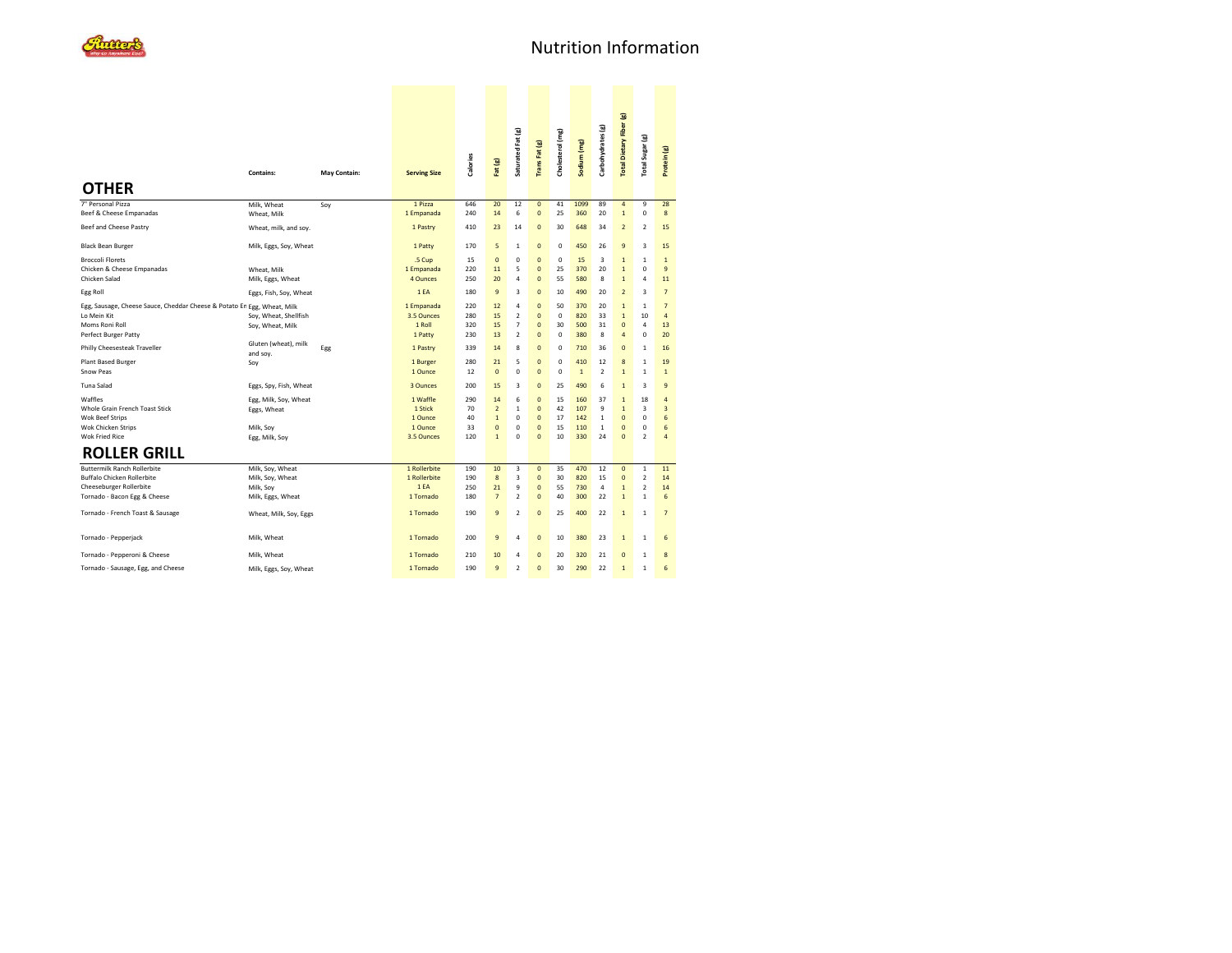| <b>OTHER</b>                                                                                                                       | Contains:                                                              | May Contain: | <b>Serving Size</b>                                     | <b>Calories</b>              | Fat (g)                                                              | Saturated Fat (g)                                                | Trans Fat (g)                                                                          | Cholesterol (mg)                       | Sodium (mg)                     | Carbohydrates (g)                             | <b>Total Dietary Fiber (g)</b>                                                     | Total Sugar (g)                                                    | Protein (g)                                                  |
|------------------------------------------------------------------------------------------------------------------------------------|------------------------------------------------------------------------|--------------|---------------------------------------------------------|------------------------------|----------------------------------------------------------------------|------------------------------------------------------------------|----------------------------------------------------------------------------------------|----------------------------------------|---------------------------------|-----------------------------------------------|------------------------------------------------------------------------------------|--------------------------------------------------------------------|--------------------------------------------------------------|
| 7" Personal Pizza                                                                                                                  | Milk, Wheat                                                            | Soy          | 1 Pizza                                                 | 646                          | 20                                                                   | 12                                                               | $\overline{0}$                                                                         | 41                                     | 1099                            | 89                                            | $\overline{4}$                                                                     | 9                                                                  | 28                                                           |
| Beef & Cheese Empanadas                                                                                                            | Wheat, Milk                                                            |              | 1 Empanada                                              | 240                          | 14                                                                   | 6                                                                | $\overline{0}$                                                                         | 25                                     | 360                             | 20                                            | $\mathbf{1}$                                                                       | $\mathbf 0$                                                        | 8                                                            |
| Beef and Cheese Pastry                                                                                                             | Wheat, milk, and soy.                                                  |              | 1 Pastry                                                | 410                          | 23                                                                   | 14                                                               | $\mathbf 0$                                                                            | 30                                     | 648                             | 34                                            | $\overline{2}$                                                                     | $\overline{\phantom{a}}$                                           | 15                                                           |
| <b>Black Bean Burger</b>                                                                                                           | Milk, Eggs, Soy, Wheat                                                 |              | 1 Patty                                                 | 170                          | 5                                                                    | $\mathbf{1}$                                                     | $\pmb{0}$                                                                              | 0                                      | 450                             | 26                                            | 9                                                                                  | 3                                                                  | 15                                                           |
| <b>Broccoli Florets</b><br>Chicken & Cheese Empanadas<br>Chicken Salad                                                             | Wheat, Milk<br>Milk, Eggs, Wheat                                       |              | .5 Cup<br>1 Empanada<br>4 Ounces                        | 15<br>220<br>250             | $\mathbf{0}$<br>11<br>20                                             | $\mathbf 0$<br>5<br>4                                            | $\overline{0}$<br>$\overline{0}$<br>$\overline{0}$                                     | 0<br>25<br>55                          | 15<br>370<br>580                | 3<br>20<br>8                                  | $\mathbf{1}$<br>$\mathbf{1}$<br>$\mathbf{1}$                                       | $\mathbf{1}$<br>$\mathbf 0$<br>$\overline{a}$                      | $\mathbf{1}$<br>$\overline{9}$<br>11                         |
| Egg Roll                                                                                                                           | Eggs, Fish, Soy, Wheat                                                 |              | 1EA                                                     | 180                          | $\overline{9}$                                                       | 3                                                                | $\overline{0}$                                                                         | 10                                     | 490                             | 20                                            | $\overline{2}$                                                                     | 3                                                                  | $\overline{7}$                                               |
| Egg, Sausage, Cheese Sauce, Cheddar Cheese & Potato En Egg, Wheat, Milk<br>Lo Mein Kit<br>Moms Roni Roll<br>Perfect Burger Patty   | Soy, Wheat, Shellfish<br>Soy, Wheat, Milk                              |              | 1 Empanada<br>3.5 Ounces<br>1 Roll<br>1 Patty           | 220<br>280<br>320<br>230     | 12<br>15<br>15<br>13                                                 | 4<br>$\overline{\mathbf{2}}$<br>$\overline{7}$<br>$\overline{2}$ | $\overline{0}$<br>$\overline{0}$<br>$\overline{0}$<br>$\overline{0}$                   | 50<br>$\mathbf 0$<br>30<br>$\mathbf 0$ | 370<br>820<br>500<br>380        | 20<br>33<br>31<br>8                           | $\mathbf{1}$<br>$\overline{1}$<br>$\overline{0}$<br>$\overline{4}$                 | $\overline{1}$<br>10<br>4<br>$\mathbf 0$                           | $\overline{7}$<br>$\overline{4}$<br>13<br>20                 |
| Philly Cheesesteak Traveller                                                                                                       | Gluten (wheat), milk<br>and soy.                                       | Egg          | 1 Pastry                                                | 339                          | 14                                                                   | 8                                                                | $\pmb{0}$                                                                              | 0                                      | 710                             | 36                                            | $\mathbf 0$                                                                        | $\mathbf{1}$                                                       | 16                                                           |
| Plant Based Burger<br><b>Snow Peas</b>                                                                                             | Soy                                                                    |              | 1 Burger<br>1 Ounce                                     | 280<br>12                    | 21<br>$\mathbf{0}$                                                   | 5<br>0                                                           | $\overline{0}$<br>$\mathbf{0}$                                                         | $\mathbf 0$<br>$\mathbf 0$             | 410<br>$\mathbf{1}$             | 12<br>$\overline{2}$                          | 8<br>$\mathbf{1}$                                                                  | $\mathbf{1}$<br>$\mathbf{1}$                                       | 19<br>$\mathbf{1}$                                           |
| Tuna Salad                                                                                                                         | Eggs, Spy, Fish, Wheat                                                 |              | 3 Ounces                                                | 200                          | 15                                                                   | 3                                                                | $\pmb{0}$                                                                              | 25                                     | 490                             | 6                                             | $\mathbf 1$                                                                        | 3                                                                  | 9                                                            |
| Waffles<br>Whole Grain French Toast Stick<br><b>Wok Beef Strips</b><br>Wok Chicken Strips<br><b>Wok Fried Rice</b>                 | Egg, Milk, Soy, Wheat<br>Eggs, Wheat<br>Milk, Soy<br>Egg, Milk, Soy    |              | 1 Waffle<br>1 Stick<br>1 Ounce<br>1 Ounce<br>3.5 Ounces | 290<br>70<br>40<br>33<br>120 | 14<br>$\overline{2}$<br>$\mathbf{1}$<br>$\mathbf{0}$<br>$\mathbf{1}$ | 6<br>$\mathbf{1}$<br>0<br>$\mathbf 0$<br>$\Omega$                | $\overline{0}$<br>$\overline{0}$<br>$\overline{0}$<br>$\overline{0}$<br>$\overline{0}$ | 15<br>42<br>17<br>15<br>10             | 160<br>107<br>142<br>110<br>330 | 37<br>9<br>$\mathbf{1}$<br>$\mathbf{1}$<br>24 | $\mathbf{1}$<br>$\mathbf{1}$<br>$\overline{0}$<br>$\overline{0}$<br>$\overline{0}$ | 18<br>3<br>$\mathbf 0$<br>$\mathbf 0$<br>$\overline{2}$            | $\overline{4}$<br>$\overline{3}$<br>6<br>6<br>$\overline{a}$ |
| <b>ROLLER GRILL</b>                                                                                                                |                                                                        |              |                                                         |                              |                                                                      |                                                                  |                                                                                        |                                        |                                 |                                               |                                                                                    |                                                                    |                                                              |
| <b>Buttermilk Ranch Rollerbite</b><br><b>Buffalo Chicken Rollerbite</b><br>Cheeseburger Rollerbite<br>Tornado - Bacon Egg & Cheese | Milk, Soy, Wheat<br>Milk, Soy, Wheat<br>Milk, Soy<br>Milk, Eggs, Wheat |              | 1 Rollerbite<br>1 Rollerbite<br>1EA<br>1 Tornado        | 190<br>190<br>250<br>180     | 10<br>$\bf{8}$<br>21<br>$\overline{7}$                               | 3<br>3<br>9<br>$\overline{2}$                                    | $\overline{0}$<br>$\overline{0}$<br>$\overline{0}$<br>0                                | 35<br>30<br>55<br>40                   | 470<br>820<br>730<br>300        | 12<br>15<br>$\overline{4}$<br>22              | $\overline{0}$<br>$\overline{0}$<br>$\mathbf{1}$<br>$\mathbf{1}$                   | $\overline{1}$<br>$\overline{2}$<br>$\overline{2}$<br>$\mathbf{1}$ | 11<br>14<br>14<br>6                                          |
| Tornado - French Toast & Sausage                                                                                                   | Wheat, Milk, Soy, Eggs                                                 |              | 1 Tornado                                               | 190                          | $\mathsf g$                                                          | $\overline{\mathbf{2}}$                                          | $\pmb{0}$                                                                              | 25                                     | 400                             | 22                                            | $\mathbf 1$                                                                        | $\mathbf{1}$                                                       | $\overline{7}$                                               |
| Tornado - Pepperjack                                                                                                               | Milk, Wheat                                                            |              | 1 Tornado                                               | 200                          | $9\,$                                                                | $\overline{a}$                                                   | $\overline{0}$                                                                         | 10                                     | 380                             | 23                                            | $\mathbf{1}$                                                                       | $\mathbf{1}$                                                       | 6                                                            |
| Tornado - Pepperoni & Cheese                                                                                                       | Milk, Wheat                                                            |              | 1 Tornado                                               | 210                          | 10                                                                   | $\overline{a}$                                                   | $\overline{0}$                                                                         | 20                                     | 320                             | 21                                            | $\bf{0}$                                                                           | $\mathbf{1}$                                                       | 8                                                            |
| Tornado - Sausage, Egg, and Cheese                                                                                                 | Milk, Eggs, Soy, Wheat                                                 |              | 1 Tornado                                               | 190                          | $\overline{9}$                                                       | $\overline{2}$                                                   | $\overline{0}$                                                                         | 30                                     | 290                             | 22                                            | $\mathbf{1}$                                                                       | $\overline{1}$                                                     | 6                                                            |